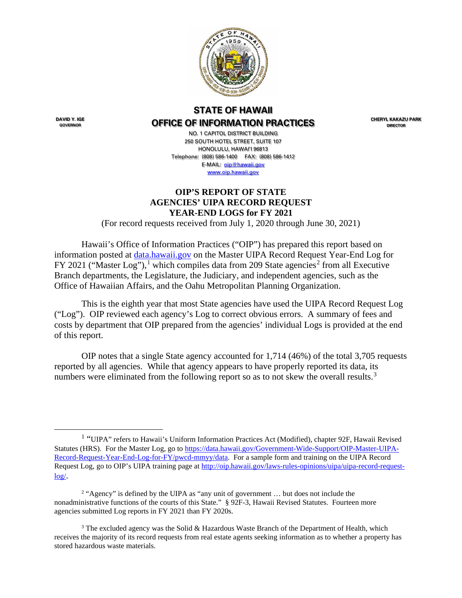

# **STATE OF HAWAII OFFICE OF INFORMATION PRACTICES**

**CHERYL KAKAZU PARK DIRECTOR**

**DAVID Y. IGE GOVERNOR**

NO. 1 CAPITOL DISTRICT BUILDING 250 SOUTH HOTEL STREET, SUITE 107 HONOLULU, HAWAI'I 96813 Telephone: (808) 586-1400 FAX: (808) 586-1412 E-MAIL: [oip@hawaii.gov](mailto:oip@state.hi.us) [www.oip.hawaii.gov](http://www.oip.hawaii.gov/)

### **OIP'S REPORT OF STATE AGENCIES' UIPA RECORD REQUEST YEAR-END LOGS for FY 2021**

(For record requests received from July 1, 2020 through June 30, 2021)

Hawaii's Office of Information Practices ("OIP") has prepared this report based on information posted at [data.hawaii.gov](https://data.hawaii.gov/) on the Master UIPA Record Request Year-End Log for FY 202[1](#page-0-0) ("Master Log"),<sup>1</sup> which compiles data from [2](#page-0-1)09 State agencies<sup>2</sup> from all Executive Branch departments, the Legislature, the Judiciary, and independent agencies, such as the Office of Hawaiian Affairs, and the Oahu Metropolitan Planning Organization.

This is the eighth year that most State agencies have used the UIPA Record Request Log ("Log"). OIP reviewed each agency's Log to correct obvious errors. A summary of fees and costs by department that OIP prepared from the agencies' individual Logs is provided at the end of this report.

OIP notes that a single State agency accounted for 1,714 (46%) of the total 3,705 requests reported by all agencies. While that agency appears to have properly reported its data, its numbers were eliminated from the following report so as to not skew the overall results.<sup>[3](#page-0-2)</sup>

<span id="page-0-0"></span><sup>&</sup>lt;sup>1</sup> "UIPA" refers to Hawaii's Uniform Information Practices Act (Modified), chapter 92F, Hawaii Revised Statutes (HRS). For the Master Log, go to [https://data.hawaii.gov/Government-Wide-Support/OIP-Master-UIPA-](https://data.hawaii.gov/Government-Wide-Support/OIP-Master-UIPA-Record-Request-Year-End-Log-for-FY/pwcd-mmyy/data)[Record-Request-Year-End-Log-for-FY/pwcd-mmyy/data.](https://data.hawaii.gov/Government-Wide-Support/OIP-Master-UIPA-Record-Request-Year-End-Log-for-FY/pwcd-mmyy/data) For a sample form and training on the UIPA Record Request Log, go to OIP's UIPA training page at [http://oip.hawaii.gov/laws-rules-opinions/uipa/uipa-record-request](http://oip.hawaii.gov/laws-rules-opinions/uipa/uipa-record-request-log/) $log/$ .

<span id="page-0-1"></span><sup>&</sup>lt;sup>2</sup> "Agency" is defined by the UIPA as "any unit of government ... but does not include the nonadministrative functions of the courts of this State." § 92F-3, Hawaii Revised Statutes. Fourteen more agencies submitted Log reports in FY 2021 than FY 2020s.

<span id="page-0-2"></span><sup>&</sup>lt;sup>3</sup> The excluded agency was the Solid & Hazardous Waste Branch of the Department of Health, which receives the majority of its record requests from real estate agents seeking information as to whether a property has stored hazardous waste materials.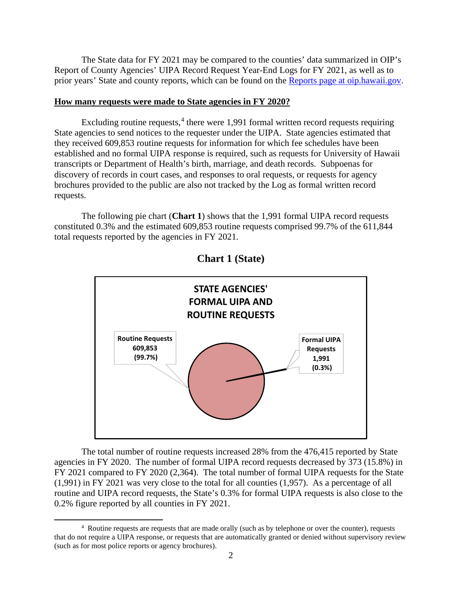The State data for FY 2021 may be compared to the counties' data summarized in OIP's Report of County Agencies' UIPA Record Request Year-End Logs for FY 2021, as well as to prior years' State and county reports, which can be found on the [Reports page at oip.hawaii.gov.](http://oip.hawaii.gov/uipa-record-request-log-reports/)

#### **How many requests were made to State agencies in FY 2020?**

Excluding routine requests,<sup>[4](#page-1-0)</sup> there were 1,991 formal written record requests requiring State agencies to send notices to the requester under the UIPA. State agencies estimated that they received 609,853 routine requests for information for which fee schedules have been established and no formal UIPA response is required, such as requests for University of Hawaii transcripts or Department of Health's birth, marriage, and death records. Subpoenas for discovery of records in court cases, and responses to oral requests, or requests for agency brochures provided to the public are also not tracked by the Log as formal written record requests.

The following pie chart (**Chart 1**) shows that the 1,991 formal UIPA record requests constituted 0.3% and the estimated 609,853 routine requests comprised 99.7% of the 611,844 total requests reported by the agencies in FY 2021.



**Chart 1 (State)**

The total number of routine requests increased 28% from the 476,415 reported by State agencies in FY 2020. The number of formal UIPA record requests decreased by 373 (15.8%) in FY 2021 compared to FY 2020 (2,364). The total number of formal UIPA requests for the State (1,991) in FY 2021 was very close to the total for all counties (1,957). As a percentage of all routine and UIPA record requests, the State's 0.3% for formal UIPA requests is also close to the 0.2% figure reported by all counties in FY 2021.

<span id="page-1-0"></span><sup>&</sup>lt;sup>4</sup> Routine requests are requests that are made orally (such as by telephone or over the counter), requests that do not require a UIPA response, or requests that are automatically granted or denied without supervisory review (such as for most police reports or agency brochures).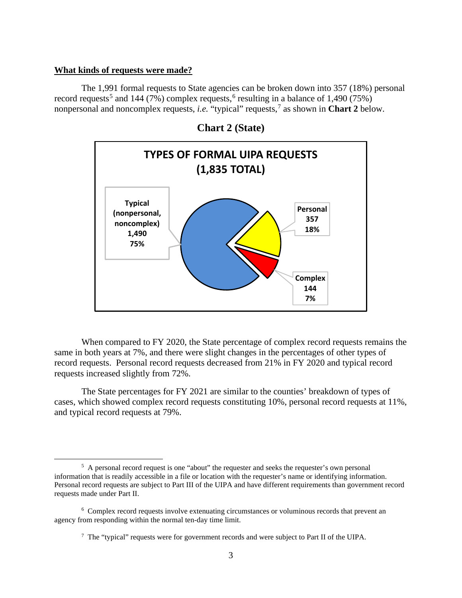#### **What kinds of requests were made?**

The 1,991 formal requests to State agencies can be broken down into 357 (18%) personal record requests<sup>[5](#page-2-0)</sup> and 144 (7%) complex requests,<sup>[6](#page-2-1)</sup> resulting in a balance of 1,490 (75%) nonpersonal and noncomplex requests, *i.e.* "typical" requests,[7](#page-2-2) as shown in **Chart 2** below.





When compared to FY 2020, the State percentage of complex record requests remains the same in both years at 7%, and there were slight changes in the percentages of other types of record requests. Personal record requests decreased from 21% in FY 2020 and typical record requests increased slightly from 72%.

The State percentages for FY 2021 are similar to the counties' breakdown of types of cases, which showed complex record requests constituting 10%, personal record requests at 11%, and typical record requests at 79%.

<span id="page-2-0"></span><sup>&</sup>lt;sup>5</sup> A personal record request is one "about" the requester and seeks the requester's own personal information that is readily accessible in a file or location with the requester's name or identifying information. Personal record requests are subject to Part III of the UIPA and have different requirements than government record requests made under Part II.

<span id="page-2-2"></span><span id="page-2-1"></span><sup>&</sup>lt;sup>6</sup> Complex record requests involve extenuating circumstances or voluminous records that prevent an agency from responding within the normal ten-day time limit.

 $7$  The "typical" requests were for government records and were subject to Part II of the UIPA.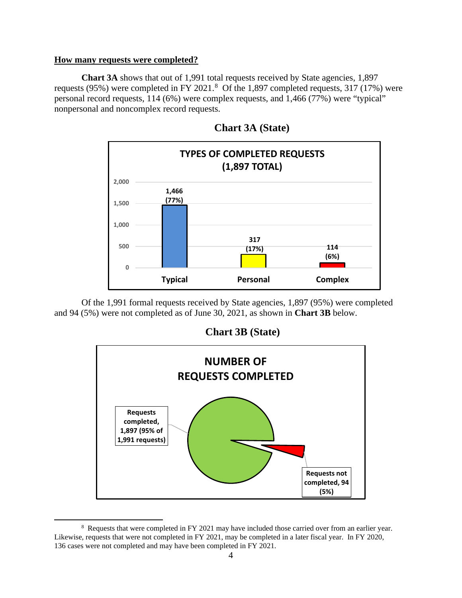#### **How many requests were completed?**

**Chart 3A** shows that out of 1,991 total requests received by State agencies, 1,897 requests (95%) were completed in FY 2021.<sup>[8](#page-3-0)</sup> Of the 1,897 completed requests, 317 (17%) were personal record requests, 114 (6%) were complex requests, and 1,466 (77%) were "typical" nonpersonal and noncomplex record requests.



 **Chart 3A (State)**

Of the 1,991 formal requests received by State agencies, 1,897 (95%) were completed and 94 (5%) were not completed as of June 30, 2021, as shown in **Chart 3B** below.

 **Chart 3B (State)**



<span id="page-3-0"></span><sup>&</sup>lt;sup>8</sup> Requests that were completed in FY 2021 may have included those carried over from an earlier year. Likewise, requests that were not completed in FY 2021, may be completed in a later fiscal year. In FY 2020, 136 cases were not completed and may have been completed in FY 2021.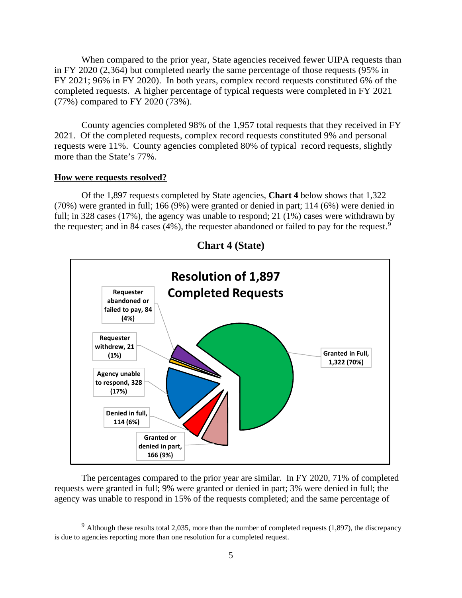When compared to the prior year, State agencies received fewer UIPA requests than in FY 2020 (2,364) but completed nearly the same percentage of those requests (95% in FY 2021; 96% in FY 2020). In both years, complex record requests constituted 6% of the completed requests. A higher percentage of typical requests were completed in FY 2021 (77%) compared to FY 2020 (73%).

County agencies completed 98% of the 1,957 total requests that they received in FY 2021. Of the completed requests, complex record requests constituted 9% and personal requests were 11%. County agencies completed 80% of typical record requests, slightly more than the State's 77%.

#### **How were requests resolved?**

Of the 1,897 requests completed by State agencies, **Chart 4** below shows that 1,322 (70%) were granted in full; 166 (9%) were granted or denied in part; 114 (6%) were denied in full; in 328 cases (17%), the agency was unable to respond; 21 (1%) cases were withdrawn by the requester; and in 84 cases (4%), the requester abandoned or failed to pay for the request.<sup>[9](#page-4-0)</sup>



**Chart 4 (State)**

The percentages compared to the prior year are similar. In FY 2020, 71% of completed requests were granted in full; 9% were granted or denied in part; 3% were denied in full; the agency was unable to respond in 15% of the requests completed; and the same percentage of

<span id="page-4-0"></span> $9$  Although these results total 2,035, more than the number of completed requests (1,897), the discrepancy is due to agencies reporting more than one resolution for a completed request.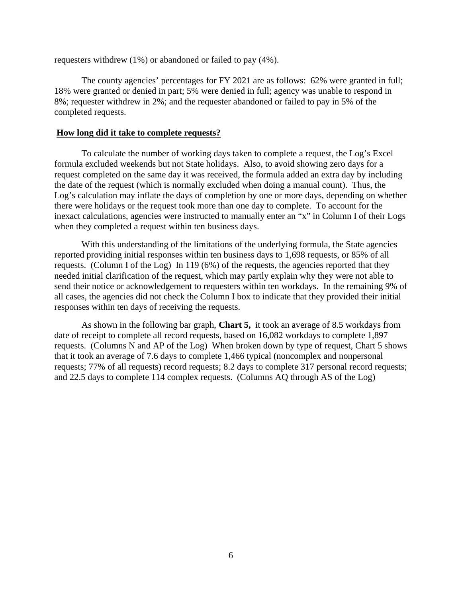requesters withdrew (1%) or abandoned or failed to pay (4%).

The county agencies' percentages for FY 2021 are as follows: 62% were granted in full; 18% were granted or denied in part; 5% were denied in full; agency was unable to respond in 8%; requester withdrew in 2%; and the requester abandoned or failed to pay in 5% of the completed requests.

#### **How long did it take to complete requests?**

To calculate the number of working days taken to complete a request, the Log's Excel formula excluded weekends but not State holidays. Also, to avoid showing zero days for a request completed on the same day it was received, the formula added an extra day by including the date of the request (which is normally excluded when doing a manual count). Thus, the Log's calculation may inflate the days of completion by one or more days, depending on whether there were holidays or the request took more than one day to complete. To account for the inexact calculations, agencies were instructed to manually enter an "x" in Column I of their Logs when they completed a request within ten business days.

With this understanding of the limitations of the underlying formula, the State agencies reported providing initial responses within ten business days to 1,698 requests, or 85% of all requests. (Column I of the Log) In 119 (6%) of the requests, the agencies reported that they needed initial clarification of the request, which may partly explain why they were not able to send their notice or acknowledgement to requesters within ten workdays. In the remaining 9% of all cases, the agencies did not check the Column I box to indicate that they provided their initial responses within ten days of receiving the requests.

As shown in the following bar graph, **Chart 5,** it took an average of 8.5 workdays from date of receipt to complete all record requests, based on 16,082 workdays to complete 1,897 requests. (Columns N and AP of the Log) When broken down by type of request, Chart 5 shows that it took an average of 7.6 days to complete 1,466 typical (noncomplex and nonpersonal requests; 77% of all requests) record requests; 8.2 days to complete 317 personal record requests; and 22.5 days to complete 114 complex requests. (Columns AQ through AS of the Log)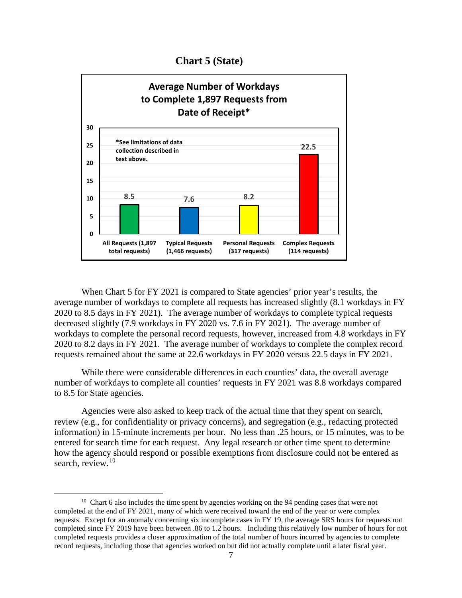**Chart 5 (State)**



When Chart 5 for FY 2021 is compared to State agencies' prior year's results, the average number of workdays to complete all requests has increased slightly (8.1 workdays in FY 2020 to 8.5 days in FY 2021). The average number of workdays to complete typical requests decreased slightly (7.9 workdays in FY 2020 vs. 7.6 in FY 2021). The average number of workdays to complete the personal record requests, however, increased from 4.8 workdays in FY 2020 to 8.2 days in FY 2021. The average number of workdays to complete the complex record requests remained about the same at 22.6 workdays in FY 2020 versus 22.5 days in FY 2021.

While there were considerable differences in each counties' data, the overall average number of workdays to complete all counties' requests in FY 2021 was 8.8 workdays compared to 8.5 for State agencies.

Agencies were also asked to keep track of the actual time that they spent on search, review (e.g., for confidentiality or privacy concerns), and segregation (e.g., redacting protected information) in 15-minute increments per hour. No less than .25 hours, or 15 minutes, was to be entered for search time for each request. Any legal research or other time spent to determine how the agency should respond or possible exemptions from disclosure could not be entered as search, review.<sup>[10](#page-6-0)</sup>

<span id="page-6-0"></span><sup>&</sup>lt;sup>10</sup> Chart 6 also includes the time spent by agencies working on the 94 pending cases that were not completed at the end of FY 2021, many of which were received toward the end of the year or were complex requests. Except for an anomaly concerning six incomplete cases in FY 19, the average SRS hours for requests not completed since FY 2019 have been between .86 to 1.2 hours. Including this relatively low number of hours for not completed requests provides a closer approximation of the total number of hours incurred by agencies to complete record requests, including those that agencies worked on but did not actually complete until a later fiscal year.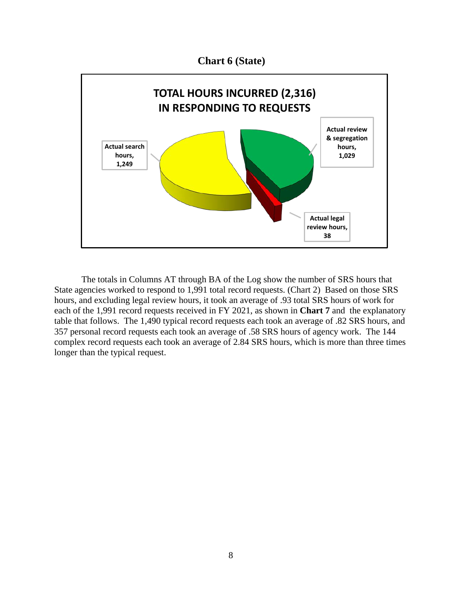**Chart 6 (State)**



The totals in Columns AT through BA of the Log show the number of SRS hours that State agencies worked to respond to 1,991 total record requests. (Chart 2) Based on those SRS hours, and excluding legal review hours, it took an average of .93 total SRS hours of work for each of the 1,991 record requests received in FY 2021, as shown in **Chart 7** and the explanatory table that follows. The 1,490 typical record requests each took an average of .82 SRS hours, and 357 personal record requests each took an average of .58 SRS hours of agency work. The 144 complex record requests each took an average of 2.84 SRS hours, which is more than three times longer than the typical request.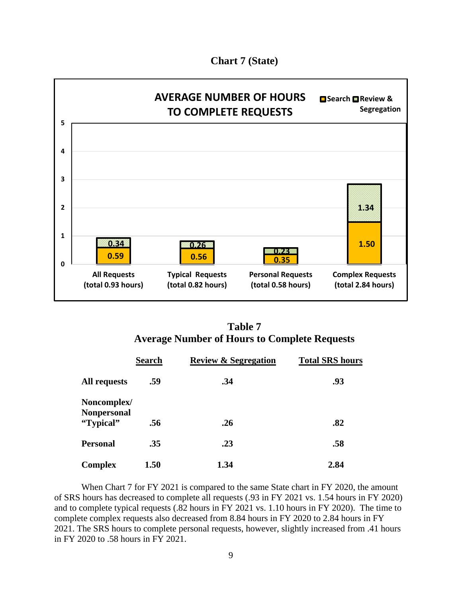**Chart 7 (State)**



| <b>Table 7</b>                                      |  |
|-----------------------------------------------------|--|
| <b>Average Number of Hours to Complete Requests</b> |  |

|                                   | <b>Search</b> | <b>Review &amp; Segregation</b> | <b>Total SRS hours</b> |
|-----------------------------------|---------------|---------------------------------|------------------------|
| <b>All requests</b>               | .59           | .34                             | .93                    |
| Noncomplex/<br><b>Nonpersonal</b> |               |                                 |                        |
| "Typical"                         | .56           | .26                             | .82                    |
| <b>Personal</b>                   | .35           | .23                             | .58                    |
| <b>Complex</b>                    | 1.50          | 1.34                            | 2.84                   |

When Chart 7 for FY 2021 is compared to the same State chart in FY 2020, the amount of SRS hours has decreased to complete all requests (.93 in FY 2021 vs. 1.54 hours in FY 2020) and to complete typical requests (.82 hours in FY 2021 vs. 1.10 hours in FY 2020). The time to complete complex requests also decreased from 8.84 hours in FY 2020 to 2.84 hours in FY 2021. The SRS hours to complete personal requests, however, slightly increased from .41 hours in FY 2020 to .58 hours in FY 2021.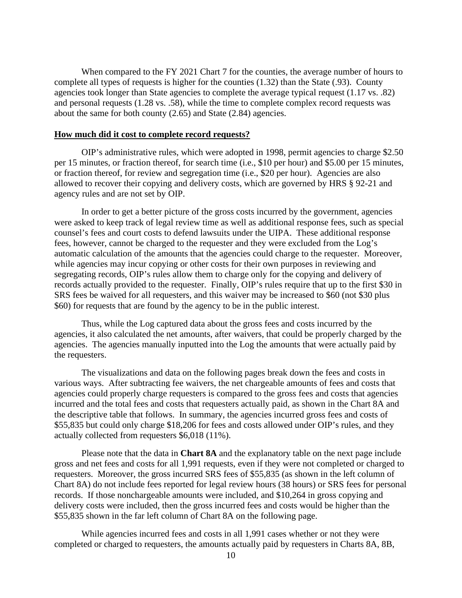When compared to the FY 2021 Chart 7 for the counties, the average number of hours to complete all types of requests is higher for the counties (1.32) than the State (.93). County agencies took longer than State agencies to complete the average typical request (1.17 vs. .82) and personal requests (1.28 vs. .58), while the time to complete complex record requests was about the same for both county (2.65) and State (2.84) agencies.

#### **How much did it cost to complete record requests?**

OIP's administrative rules, which were adopted in 1998, permit agencies to charge \$2.50 per 15 minutes, or fraction thereof, for search time (i.e., \$10 per hour) and \$5.00 per 15 minutes, or fraction thereof, for review and segregation time (i.e., \$20 per hour). Agencies are also allowed to recover their copying and delivery costs, which are governed by HRS § 92-21 and agency rules and are not set by OIP.

In order to get a better picture of the gross costs incurred by the government, agencies were asked to keep track of legal review time as well as additional response fees, such as special counsel's fees and court costs to defend lawsuits under the UIPA. These additional response fees, however, cannot be charged to the requester and they were excluded from the Log's automatic calculation of the amounts that the agencies could charge to the requester. Moreover, while agencies may incur copying or other costs for their own purposes in reviewing and segregating records, OIP's rules allow them to charge only for the copying and delivery of records actually provided to the requester. Finally, OIP's rules require that up to the first \$30 in SRS fees be waived for all requesters, and this waiver may be increased to \$60 (not \$30 plus \$60) for requests that are found by the agency to be in the public interest.

Thus, while the Log captured data about the gross fees and costs incurred by the agencies, it also calculated the net amounts, after waivers, that could be properly charged by the agencies. The agencies manually inputted into the Log the amounts that were actually paid by the requesters.

The visualizations and data on the following pages break down the fees and costs in various ways. After subtracting fee waivers, the net chargeable amounts of fees and costs that agencies could properly charge requesters is compared to the gross fees and costs that agencies incurred and the total fees and costs that requesters actually paid, as shown in the Chart 8A and the descriptive table that follows. In summary, the agencies incurred gross fees and costs of \$55,835 but could only charge \$18,206 for fees and costs allowed under OIP's rules, and they actually collected from requesters \$6,018 (11%).

Please note that the data in **Chart 8A** and the explanatory table on the next page include gross and net fees and costs for all 1,991 requests, even if they were not completed or charged to requesters. Moreover, the gross incurred SRS fees of \$55,835 (as shown in the left column of Chart 8A) do not include fees reported for legal review hours (38 hours) or SRS fees for personal records. If those nonchargeable amounts were included, and \$10,264 in gross copying and delivery costs were included, then the gross incurred fees and costs would be higher than the \$55,835 shown in the far left column of Chart 8A on the following page.

While agencies incurred fees and costs in all 1,991 cases whether or not they were completed or charged to requesters, the amounts actually paid by requesters in Charts 8A, 8B,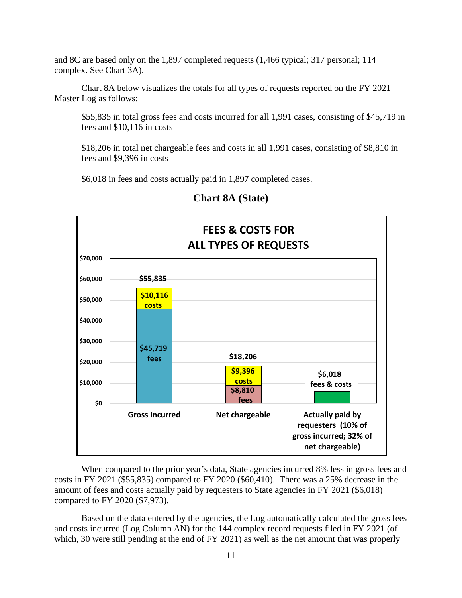and 8C are based only on the 1,897 completed requests (1,466 typical; 317 personal; 114 complex. See Chart 3A).

Chart 8A below visualizes the totals for all types of requests reported on the FY 2021 Master Log as follows:

\$55,835 in total gross fees and costs incurred for all 1,991 cases, consisting of \$45,719 in fees and \$10,116 in costs

\$18,206 in total net chargeable fees and costs in all 1,991 cases, consisting of \$8,810 in fees and \$9,396 in costs

\$6,018 in fees and costs actually paid in 1,897 completed cases.



# **Chart 8A (State)**

When compared to the prior year's data, State agencies incurred 8% less in gross fees and costs in FY 2021 (\$55,835) compared to FY 2020 (\$60,410). There was a 25% decrease in the amount of fees and costs actually paid by requesters to State agencies in FY 2021 (\$6,018) compared to FY 2020 (\$7,973).

Based on the data entered by the agencies, the Log automatically calculated the gross fees and costs incurred (Log Column AN) for the 144 complex record requests filed in FY 2021 (of which, 30 were still pending at the end of FY 2021) as well as the net amount that was properly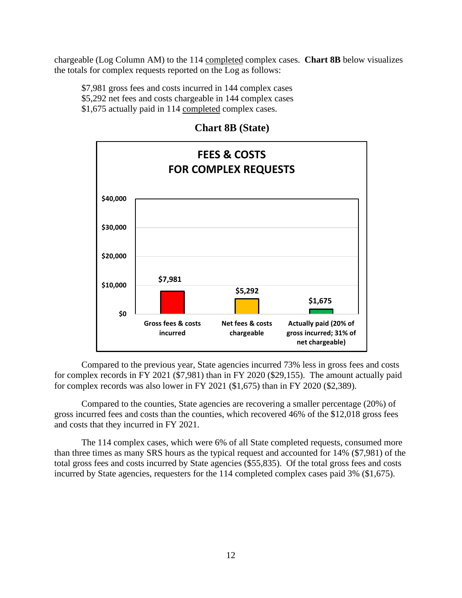chargeable (Log Column AM) to the 114 completed complex cases. **Chart 8B** below visualizes the totals for complex requests reported on the Log as follows:

\$7,981 gross fees and costs incurred in 144 complex cases \$5,292 net fees and costs chargeable in 144 complex cases \$1,675 actually paid in 114 completed complex cases.



**Chart 8B (State)**

Compared to the previous year, State agencies incurred 73% less in gross fees and costs for complex records in FY 2021 (\$7,981) than in FY 2020 (\$29,155). The amount actually paid for complex records was also lower in FY 2021 (\$1,675) than in FY 2020 (\$2,389).

Compared to the counties, State agencies are recovering a smaller percentage (20%) of gross incurred fees and costs than the counties, which recovered 46% of the \$12,018 gross fees and costs that they incurred in FY 2021.

The 114 complex cases, which were 6% of all State completed requests, consumed more than three times as many SRS hours as the typical request and accounted for 14% (\$7,981) of the total gross fees and costs incurred by State agencies (\$55,835). Of the total gross fees and costs incurred by State agencies, requesters for the 114 completed complex cases paid 3% (\$1,675).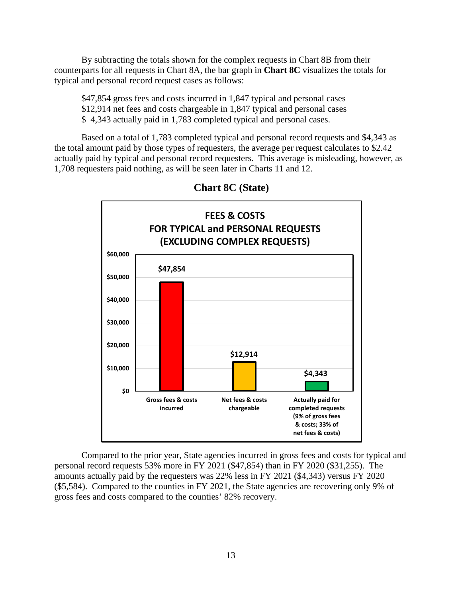By subtracting the totals shown for the complex requests in Chart 8B from their counterparts for all requests in Chart 8A, the bar graph in **Chart 8C** visualizes the totals for typical and personal record request cases as follows:

\$47,854 gross fees and costs incurred in 1,847 typical and personal cases \$12,914 net fees and costs chargeable in 1,847 typical and personal cases \$ 4,343 actually paid in 1,783 completed typical and personal cases.

Based on a total of 1,783 completed typical and personal record requests and \$4,343 as the total amount paid by those types of requesters, the average per request calculates to \$2.42 actually paid by typical and personal record requesters. This average is misleading, however, as 1,708 requesters paid nothing, as will be seen later in Charts 11 and 12.



 **Chart 8C (State)**

Compared to the prior year, State agencies incurred in gross fees and costs for typical and personal record requests 53% more in FY 2021 (\$47,854) than in FY 2020 (\$31,255). The amounts actually paid by the requesters was 22% less in FY 2021 (\$4,343) versus FY 2020 (\$5,584). Compared to the counties in FY 2021, the State agencies are recovering only 9% of gross fees and costs compared to the counties' 82% recovery.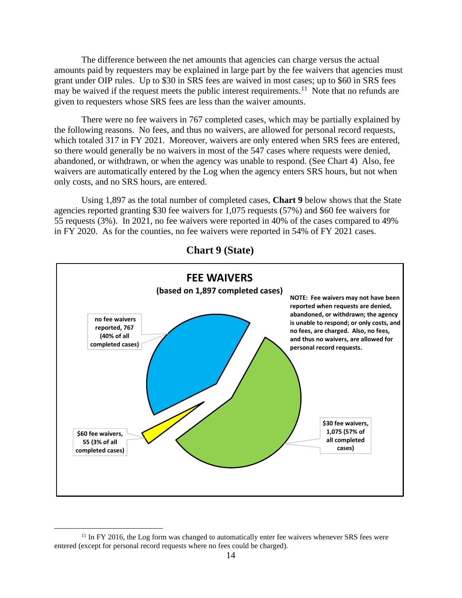The difference between the net amounts that agencies can charge versus the actual amounts paid by requesters may be explained in large part by the fee waivers that agencies must grant under OIP rules. Up to \$30 in SRS fees are waived in most cases; up to \$60 in SRS fees may be waived if the request meets the public interest requirements.<sup>[11](#page-13-0)</sup> Note that no refunds are given to requesters whose SRS fees are less than the waiver amounts.

There were no fee waivers in 767 completed cases, which may be partially explained by the following reasons. No fees, and thus no waivers, are allowed for personal record requests, which totaled 317 in FY 2021. Moreover, waivers are only entered when SRS fees are entered, so there would generally be no waivers in most of the 547 cases where requests were denied, abandoned, or withdrawn, or when the agency was unable to respond. (See Chart 4) Also, fee waivers are automatically entered by the Log when the agency enters SRS hours, but not when only costs, and no SRS hours, are entered.

Using 1,897 as the total number of completed cases, **Chart 9** below shows that the State agencies reported granting \$30 fee waivers for 1,075 requests (57%) and \$60 fee waivers for 55 requests (3%). In 2021, no fee waivers were reported in 40% of the cases compared to 49% in FY 2020. As for the counties, no fee waivers were reported in 54% of FY 2021 cases.



# **Chart 9 (State)**

<span id="page-13-0"></span><sup>&</sup>lt;sup>11</sup> In FY 2016, the Log form was changed to automatically enter fee waivers whenever SRS fees were entered (except for personal record requests where no fees could be charged).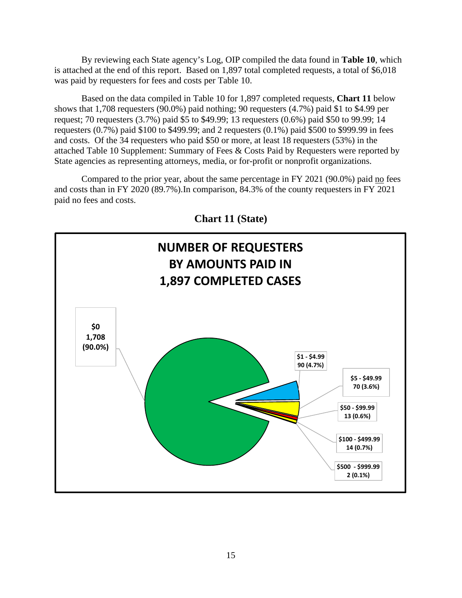By reviewing each State agency's Log, OIP compiled the data found in **Table 10**, which is attached at the end of this report. Based on 1,897 total completed requests, a total of \$6,018 was paid by requesters for fees and costs per Table 10.

Based on the data compiled in Table 10 for 1,897 completed requests, **Chart 11** below shows that 1,708 requesters (90.0%) paid nothing; 90 requesters (4.7%) paid \$1 to \$4.99 per request; 70 requesters (3.7%) paid \$5 to \$49.99; 13 requesters (0.6%) paid \$50 to 99.99; 14 requesters (0.7%) paid \$100 to \$499.99; and 2 requesters (0.1%) paid \$500 to \$999.99 in fees and costs. Of the 34 requesters who paid \$50 or more, at least 18 requesters (53%) in the attached Table 10 Supplement: Summary of Fees & Costs Paid by Requesters were reported by State agencies as representing attorneys, media, or for-profit or nonprofit organizations.

Compared to the prior year, about the same percentage in FY 2021 (90.0%) paid no fees and costs than in FY 2020 (89.7%).In comparison, 84.3% of the county requesters in FY 2021 paid no fees and costs.



**Chart 11 (State)**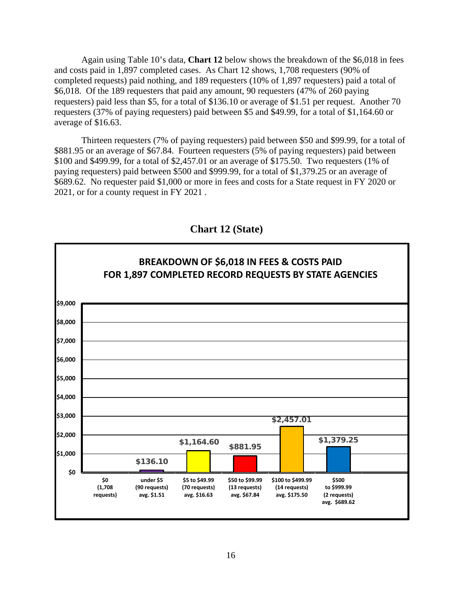Again using Table 10's data, **Chart 12** below shows the breakdown of the \$6,018 in fees and costs paid in 1,897 completed cases. As Chart 12 shows, 1,708 requesters (90% of completed requests) paid nothing, and 189 requesters (10% of 1,897 requesters) paid a total of \$6,018. Of the 189 requesters that paid any amount, 90 requesters (47% of 260 paying requesters) paid less than \$5, for a total of \$136.10 or average of \$1.51 per request. Another 70 requesters (37% of paying requesters) paid between \$5 and \$49.99, for a total of \$1,164.60 or average of \$16.63.

Thirteen requesters (7% of paying requesters) paid between \$50 and \$99.99, for a total of \$881.95 or an average of \$67.84. Fourteen requesters (5% of paying requesters) paid between \$100 and \$499.99, for a total of \$2,457.01 or an average of \$175.50. Two requesters (1% of paying requesters) paid between \$500 and \$999.99, for a total of \$1,379.25 or an average of \$689.62. No requester paid \$1,000 or more in fees and costs for a State request in FY 2020 or 2021, or for a county request in FY 2021 .



**Chart 12 (State)**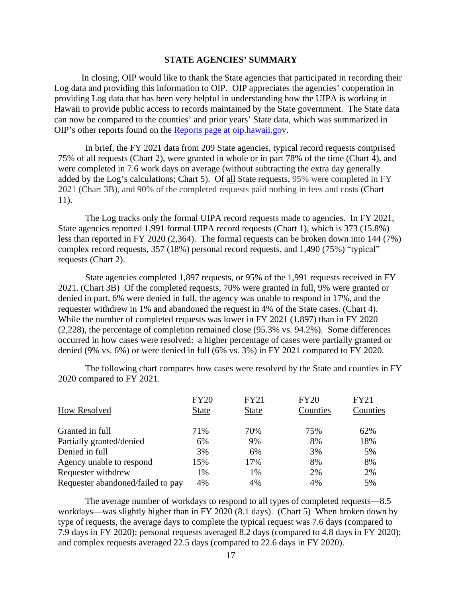#### **STATE AGENCIES' SUMMARY**

In closing, OIP would like to thank the State agencies that participated in recording their Log data and providing this information to OIP. OIP appreciates the agencies' cooperation in providing Log data that has been very helpful in understanding how the UIPA is working in Hawaii to provide public access to records maintained by the State government. The State data can now be compared to the counties' and prior years' State data, which was summarized in OIP's other reports found on the [Reports page at oip.hawaii.gov.](http://oip.hawaii.gov/uipa-record-request-log-reports/)

In brief, the FY 2021 data from 209 State agencies, typical record requests comprised 75% of all requests (Chart 2), were granted in whole or in part 78% of the time (Chart 4), and were completed in 7.6 work days on average (without subtracting the extra day generally added by the Log's calculations; Chart 5). Of all State requests, 95% were completed in FY 2021 (Chart 3B), and 90% of the completed requests paid nothing in fees and costs (Chart 11).

The Log tracks only the formal UIPA record requests made to agencies. In FY 2021, State agencies reported 1,991 formal UIPA record requests (Chart 1), which is 373 (15.8%) less than reported in FY 2020 (2,364). The formal requests can be broken down into 144 (7%) complex record requests, 357 (18%) personal record requests, and 1,490 (75%) "typical" requests (Chart 2).

State agencies completed 1,897 requests, or 95% of the 1,991 requests received in FY 2021. (Chart 3B) Of the completed requests, 70% were granted in full, 9% were granted or denied in part, 6% were denied in full, the agency was unable to respond in 17%, and the requester withdrew in 1% and abandoned the request in 4% of the State cases. (Chart 4). While the number of completed requests was lower in FY 2021 (1,897) than in FY 2020 (2,228), the percentage of completion remained close (95.3% vs. 94.2%). Some differences occurred in how cases were resolved: a higher percentage of cases were partially granted or denied (9% vs. 6%) or were denied in full (6% vs. 3%) in FY 2021 compared to FY 2020.

The following chart compares how cases were resolved by the State and counties in FY 2020 compared to FY 2021.

| <b>How Resolved</b>               | <b>FY20</b><br><b>State</b> | <b>FY21</b><br><b>State</b> | <b>FY20</b><br>Counties | <b>FY21</b><br>Counties |
|-----------------------------------|-----------------------------|-----------------------------|-------------------------|-------------------------|
|                                   |                             |                             |                         |                         |
| Granted in full                   | 71%                         | 70%                         | 75%                     | 62%                     |
| Partially granted/denied          | 6%                          | 9%                          | 8%                      | 18%                     |
| Denied in full                    | 3%                          | 6%                          | 3%                      | 5%                      |
| Agency unable to respond          | 15%                         | 17%                         | 8%                      | 8%                      |
| Requester withdrew                | 1%                          | 1%                          | 2%                      | 2%                      |
| Requester abandoned/failed to pay | 4%                          | 4%                          | 4%                      | 5%                      |

The average number of workdays to respond to all types of completed requests—8.5 workdays—was slightly higher than in FY 2020 (8.1 days). (Chart 5) When broken down by type of requests, the average days to complete the typical request was 7.6 days (compared to 7.9 days in FY 2020); personal requests averaged 8.2 days (compared to 4.8 days in FY 2020); and complex requests averaged 22.5 days (compared to 22.6 days in FY 2020).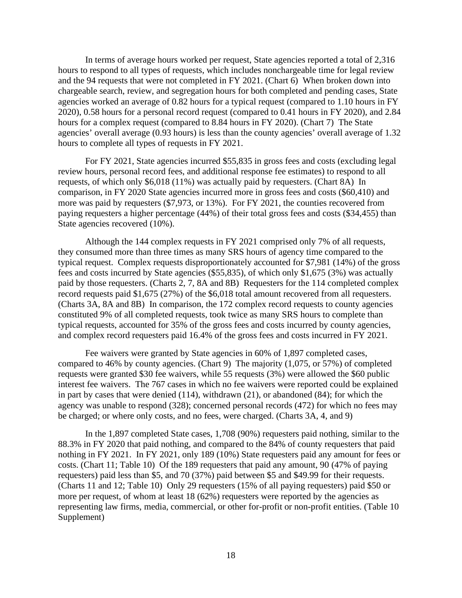In terms of average hours worked per request, State agencies reported a total of 2,316 hours to respond to all types of requests, which includes nonchargeable time for legal review and the 94 requests that were not completed in FY 2021. (Chart 6) When broken down into chargeable search, review, and segregation hours for both completed and pending cases, State agencies worked an average of 0.82 hours for a typical request (compared to 1.10 hours in FY 2020), 0.58 hours for a personal record request (compared to 0.41 hours in FY 2020), and 2.84 hours for a complex request (compared to 8.84 hours in FY 2020). (Chart 7) The State agencies' overall average (0.93 hours) is less than the county agencies' overall average of 1.32 hours to complete all types of requests in FY 2021.

For FY 2021, State agencies incurred \$55,835 in gross fees and costs (excluding legal review hours, personal record fees, and additional response fee estimates) to respond to all requests, of which only \$6,018 (11%) was actually paid by requesters. (Chart 8A) In comparison, in FY 2020 State agencies incurred more in gross fees and costs (\$60,410) and more was paid by requesters (\$7,973, or 13%). For FY 2021, the counties recovered from paying requesters a higher percentage (44%) of their total gross fees and costs (\$34,455) than State agencies recovered (10%).

Although the 144 complex requests in FY 2021 comprised only 7% of all requests, they consumed more than three times as many SRS hours of agency time compared to the typical request. Complex requests disproportionately accounted for \$7,981 (14%) of the gross fees and costs incurred by State agencies (\$55,835), of which only \$1,675 (3%) was actually paid by those requesters. (Charts 2, 7, 8A and 8B) Requesters for the 114 completed complex record requests paid \$1,675 (27%) of the \$6,018 total amount recovered from all requesters. (Charts 3A, 8A and 8B) In comparison, the 172 complex record requests to county agencies constituted 9% of all completed requests, took twice as many SRS hours to complete than typical requests, accounted for 35% of the gross fees and costs incurred by county agencies, and complex record requesters paid 16.4% of the gross fees and costs incurred in FY 2021.

Fee waivers were granted by State agencies in 60% of 1,897 completed cases, compared to 46% by county agencies. (Chart 9) The majority (1,075, or 57%) of completed requests were granted \$30 fee waivers, while 55 requests (3%) were allowed the \$60 public interest fee waivers. The 767 cases in which no fee waivers were reported could be explained in part by cases that were denied (114), withdrawn (21), or abandoned (84); for which the agency was unable to respond (328); concerned personal records (472) for which no fees may be charged; or where only costs, and no fees, were charged. (Charts 3A, 4, and 9)

In the 1,897 completed State cases, 1,708 (90%) requesters paid nothing, similar to the 88.3% in FY 2020 that paid nothing, and compared to the 84% of county requesters that paid nothing in FY 2021. In FY 2021, only 189 (10%) State requesters paid any amount for fees or costs. (Chart 11; Table 10) Of the 189 requesters that paid any amount, 90 (47% of paying requesters) paid less than \$5, and 70 (37%) paid between \$5 and \$49.99 for their requests. (Charts 11 and 12; Table 10) Only 29 requesters (15% of all paying requesters) paid \$50 or more per request, of whom at least 18 (62%) requesters were reported by the agencies as representing law firms, media, commercial, or other for-profit or non-profit entities. (Table 10 Supplement)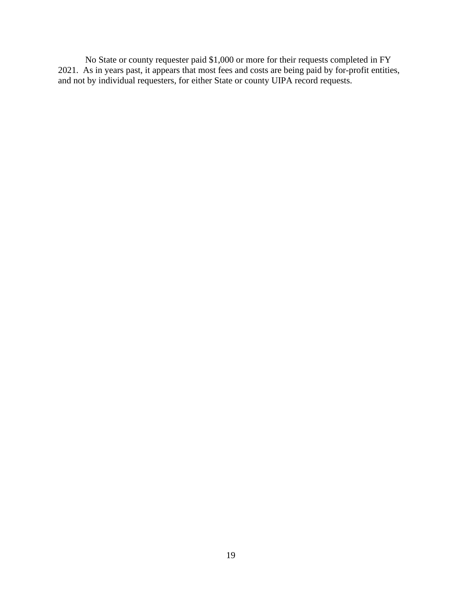No State or county requester paid \$1,000 or more for their requests completed in FY 2021. As in years past, it appears that most fees and costs are being paid by for-profit entities, and not by individual requesters, for either State or county UIPA record requests.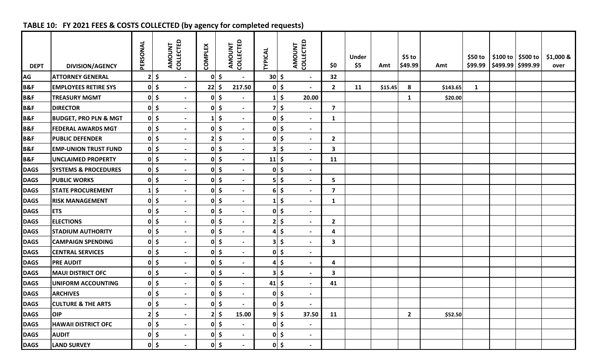# **TABLE 10: FY 2021 FEES & COSTS COLLECTED (by agency for completed requests)**

| <b>DEPT</b>    | <b>DIVISION/AGENCY</b>           | PERSONAL     |                     | COLLECTED<br><b>AMOUNT</b> | <b>COMPLEX</b> |                     | COLLECTED<br>AMOUNT      | <b>TYPICAL</b> |              | AMOUNT<br>COLLECTED      | \$0                     | <b>Under</b><br>\$5 | Amt     | $$5$ to<br>\$49.99 | Amt      | \$50 to      | \$100 to   \$500 to<br>\$99.99   \$499.99   \$999.99 | \$1,000 &<br>over |
|----------------|----------------------------------|--------------|---------------------|----------------------------|----------------|---------------------|--------------------------|----------------|--------------|--------------------------|-------------------------|---------------------|---------|--------------------|----------|--------------|------------------------------------------------------|-------------------|
| <b>AG</b>      | <b>ATTORNEY GENERAL</b>          |              | $2 \mid 5$          | $\overline{\phantom{a}}$   |                | $0 \mid \xi$        |                          | $30 \mid 5$    |              | $\overline{\phantom{a}}$ | 32                      |                     |         |                    |          |              |                                                      |                   |
| <b>B&amp;F</b> | <b>EMPLOYEES RETIRE SYS</b>      |              | $0 \mid \xi$        | $\blacksquare$             | 22             | -\$                 | 217.50                   |                | $0 \mid \xi$ | $\blacksquare$           | $2^{\circ}$             | 11                  | \$15.45 | 8                  | \$143.65 | $\mathbf{1}$ |                                                      |                   |
| <b>B&amp;F</b> | <b>TREASURY MGMT</b>             |              | $0 \mid \xi$        | $\blacksquare$             |                | $0 \mid 5$          | $\overline{\phantom{0}}$ |                | $1\vert \xi$ | 20.00                    |                         |                     |         | $\mathbf{1}$       | \$20.00  |              |                                                      |                   |
| <b>B&amp;F</b> | <b>DIRECTOR</b>                  |              | $0 \mid \xi$        | $\sim$                     |                | $0 \mid \xi$        | $\blacksquare$           |                | $7 \mid 5$   | $\blacksquare$           | $\overline{\mathbf{z}}$ |                     |         |                    |          |              |                                                      |                   |
| <b>B&amp;F</b> | <b>BUDGET, PRO PLN &amp; MGT</b> |              | $0 \mid 5$          | $\sim$                     |                | $\ddot{\bm{\zeta}}$ | $\sim$                   |                | $0 \mid \xi$ | $\blacksquare$           | 1                       |                     |         |                    |          |              |                                                      |                   |
| <b>B&amp;F</b> | <b>FEDERAL AWARDS MGT</b>        |              | $0 \mid \xi$        | $\blacksquare$             |                | $0 \mid \xi$        | $\overline{\phantom{a}}$ |                | $0 \mid \xi$ | $\overline{\phantom{a}}$ |                         |                     |         |                    |          |              |                                                      |                   |
| <b>B&amp;F</b> | <b>PUBLIC DEFENDER</b>           |              | $0 \mid \xi$        | $\blacksquare$             |                | $2 \mid 5$          | $\blacksquare$           |                | $0 \mid \xi$ | $\blacksquare$           | $\overline{2}$          |                     |         |                    |          |              |                                                      |                   |
| <b>B&amp;F</b> | <b>EMP-UNION TRUST FUND</b>      |              | $0 \mid \xi$        | $\overline{\phantom{a}}$   |                | $0 \mid 5$          | $\overline{\phantom{a}}$ |                | $3 \mid \xi$ | $\overline{\phantom{a}}$ | 3                       |                     |         |                    |          |              |                                                      |                   |
| <b>B&amp;F</b> | <b>UNCLAIMED PROPERTY</b>        |              | $0 \mid \xi$        | $\overline{\phantom{a}}$   |                | $0 \mid \xi$        | $\blacksquare$           | $11 \mid 5$    |              | $\overline{\phantom{a}}$ | 11                      |                     |         |                    |          |              |                                                      |                   |
| <b>DAGS</b>    | <b>SYSTEMS &amp; PROCEDURES</b>  |              | $0 \mid \xi$        | $\overline{\phantom{a}}$   |                | $0 \mid 5$          | $\blacksquare$           |                | $0$ \$       | $\blacksquare$           |                         |                     |         |                    |          |              |                                                      |                   |
| <b>DAGS</b>    | <b>PUBLIC WORKS</b>              |              | $0 \mid \xi$        | $\overline{\phantom{a}}$   |                | $0 \mid \xi$        | $\overline{\phantom{0}}$ |                | $5$ \$       | $\overline{\phantom{a}}$ | 5                       |                     |         |                    |          |              |                                                      |                   |
| <b>DAGS</b>    | <b>STATE PROCUREMENT</b>         | $\mathbf{1}$ | $\ddot{\bm{\zeta}}$ | $\blacksquare$             |                | $0 \mid \xi$        | $\blacksquare$           |                | $6$ \$       | $\overline{\phantom{a}}$ | $\overline{\mathbf{z}}$ |                     |         |                    |          |              |                                                      |                   |
| <b>DAGS</b>    | <b>RISK MANAGEMENT</b>           |              | $0 \mid \xi$        | $\blacksquare$             |                | $0 \mid 5$          | $\overline{\phantom{a}}$ |                | $1\vert \xi$ | $\blacksquare$           | $\mathbf{1}$            |                     |         |                    |          |              |                                                      |                   |
| <b>DAGS</b>    | <b>ETS</b>                       |              | $0 \mid \xi$        | $\sim$                     |                | $0 \mid \xi$        | $\blacksquare$           |                | $0 \mid \xi$ | $\blacksquare$           |                         |                     |         |                    |          |              |                                                      |                   |
| <b>DAGS</b>    | <b>ELECTIONS</b>                 |              | $0 \mid \xi$        | $\blacksquare$             |                | $0 \mid 5$          | $\blacksquare$           |                | $2 \mid 5$   | $\blacksquare$           | $\mathbf{2}$            |                     |         |                    |          |              |                                                      |                   |
| <b>DAGS</b>    | <b>STADIUM AUTHORITY</b>         |              | $0 \mid \xi$        | $\sim$                     |                | $0 \mid 5$          | $\overline{\phantom{0}}$ |                | $4 \mid 5$   | $\blacksquare$           | 4                       |                     |         |                    |          |              |                                                      |                   |
| <b>DAGS</b>    | <b>CAMPAIGN SPENDING</b>         |              | $0 \mid \xi$        | $\blacksquare$             |                | $0 \mid \xi$        | $\sim$                   |                | $3 \mid \xi$ | $\blacksquare$           | 3                       |                     |         |                    |          |              |                                                      |                   |
| <b>DAGS</b>    | <b>CENTRAL SERVICES</b>          |              | $0 \mid \xi$        | $\blacksquare$             |                | $0 \mid 5$          | $\blacksquare$           |                | $0 \mid \xi$ | $\overline{\phantom{a}}$ |                         |                     |         |                    |          |              |                                                      |                   |
| <b>DAGS</b>    | <b>PRE AUDIT</b>                 |              | $0 \mid \xi$        | $\overline{\phantom{a}}$   |                | $0 \mid \xi$        | $\blacksquare$           |                | $4 \mid \xi$ | $\overline{\phantom{a}}$ | 4                       |                     |         |                    |          |              |                                                      |                   |
| <b>DAGS</b>    | <b>MAUI DISTRICT OFC</b>         |              | $0 \mid \xi$        | $\overline{\phantom{a}}$   |                | $0 \mid 5$          | $\blacksquare$           |                | $3$ \$       | $\overline{\phantom{a}}$ | 3                       |                     |         |                    |          |              |                                                      |                   |
| <b>DAGS</b>    | <b>UNIFORM ACCOUNTING</b>        |              | $0 \mid \xi$        | $\blacksquare$             |                | $0 \mid 5$          | $\overline{\phantom{a}}$ | $41 \mid 5$    |              | $\blacksquare$           | 41                      |                     |         |                    |          |              |                                                      |                   |
| <b>DAGS</b>    | <b>ARCHIVES</b>                  |              | $0 \mid \xi$        | $\blacksquare$             |                | $0 \mid \xi$        |                          |                | $0 \mid \xi$ | $\blacksquare$           |                         |                     |         |                    |          |              |                                                      |                   |
| <b>DAGS</b>    | <b>CULTURE &amp; THE ARTS</b>    |              | $0 \mid \xi$        | $\blacksquare$             |                | $0 \mid \xi$        | $\blacksquare$           |                | $0$ \$       | $\blacksquare$           |                         |                     |         |                    |          |              |                                                      |                   |
| <b>DAGS</b>    | OIP                              |              | $2 \mid \xi$        | $\sim$                     |                | $2 \mid 5$          | 15.00                    |                | $9 \mid \xi$ | 37.50                    | 11                      |                     |         | $\overline{2}$     | \$52.50  |              |                                                      |                   |
| <b>DAGS</b>    | <b>HAWAII DISTRICT OFC</b>       |              | $0 \mid \xi$        | $\sim$                     |                | $0 \mid 5$          | $\sim$                   |                | $0 \mid \xi$ | $\overline{\phantom{a}}$ |                         |                     |         |                    |          |              |                                                      |                   |
| <b>DAGS</b>    | <b>AUDIT</b>                     |              | $0 \mid \xi$        | $\sim$                     |                | $0 \mid \xi$        | $\sim$                   |                | $0 \mid \xi$ | $\sim$                   |                         |                     |         |                    |          |              |                                                      |                   |
| <b>DAGS</b>    | <b>LAND SURVEY</b>               |              | $0 \mid \xi$        | $\blacksquare$             |                | $0 \mid \xi$        | $\blacksquare$           |                | $0 \mid \xi$ | $\blacksquare$           |                         |                     |         |                    |          |              |                                                      |                   |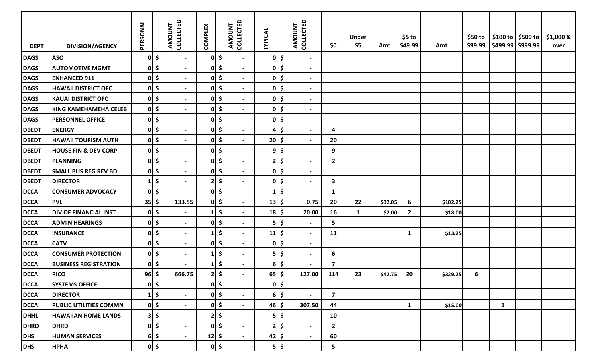| <b>DEPT</b>  | <b>DIVISION/AGENCY</b>          | PERSONAL    |              | AMOUNT<br>COLLECTED | <b>COMPLEX</b>          | COLLECTED<br>AMOUNT                             | <b>TYPICAL</b>        |              | <b>COLLECTED</b><br>AMOUNT | \$0                     | <b>Under</b><br>\$5 | Amt     | $$5$ to<br>\$49.99 | Amt      | \$50 to | $$99.99$ $$499.99$ $$999.99$ | \$100 to \$500 to | \$1,000 &<br>over |
|--------------|---------------------------------|-------------|--------------|---------------------|-------------------------|-------------------------------------------------|-----------------------|--------------|----------------------------|-------------------------|---------------------|---------|--------------------|----------|---------|------------------------------|-------------------|-------------------|
| <b>DAGS</b>  | <b>ASO</b>                      |             | $0 \mid \xi$ | $\sim$              |                         | $0 \mid \xi$<br>$\blacksquare$                  |                       | $0 \mid \xi$ | $\blacksquare$             |                         |                     |         |                    |          |         |                              |                   |                   |
| <b>DAGS</b>  | <b>AUTOMOTIVE MGMT</b>          |             | $0$ \$       | $\blacksquare$      | 0                       | $\ddot{\bm{\zeta}}$<br>$\blacksquare$           |                       | $0 \mid \xi$ | $\blacksquare$             |                         |                     |         |                    |          |         |                              |                   |                   |
| <b>DAGS</b>  | <b>ENHANCED 911</b>             |             | $0 \mid \xi$ | $\blacksquare$      | 0                       | \$<br>$\overline{\phantom{a}}$                  |                       | $0 \mid \xi$ | $\overline{\phantom{a}}$   |                         |                     |         |                    |          |         |                              |                   |                   |
| <b>DAGS</b>  | <b>HAWAII DISTRICT OFC</b>      |             | $0$ \$       | $\blacksquare$      | 0                       | $\ddot{\bm{\zeta}}$<br>$\blacksquare$           |                       | $0 \mid \xi$ | $\blacksquare$             |                         |                     |         |                    |          |         |                              |                   |                   |
| <b>DAGS</b>  | <b>KAUAI DISTRICT OFC</b>       |             | $0 \mid \xi$ | $\blacksquare$      |                         | $0 \mid \xi$<br>$\overline{\phantom{a}}$        |                       | $0 \mid \xi$ | $\blacksquare$             |                         |                     |         |                    |          |         |                              |                   |                   |
| <b>DAGS</b>  | <b>KING KAMEHAMEHA CELEB</b>    |             | $0 \mid \xi$ | $\blacksquare$      |                         | $0 \mid \xi$<br>$\blacksquare$                  |                       | $0 \mid \xi$ | $\overline{\phantom{a}}$   |                         |                     |         |                    |          |         |                              |                   |                   |
| <b>DAGS</b>  | <b>PERSONNEL OFFICE</b>         |             | $0 \leq$     | $\blacksquare$      |                         | $0 \mid \xi$<br>$\blacksquare$                  |                       | $0 \mid \xi$ | $\blacksquare$             |                         |                     |         |                    |          |         |                              |                   |                   |
| <b>DBEDT</b> | <b>ENERGY</b>                   |             | $0 \mid \xi$ | $\sim$              | 0                       | $\ddot{\bm{\zeta}}$<br>$\blacksquare$           | 4                     | \$           | $\overline{\phantom{a}}$   | 4                       |                     |         |                    |          |         |                              |                   |                   |
| <b>DBEDT</b> | <b>HAWAII TOURISM AUTH</b>      |             | $0 \mid \xi$ | $\blacksquare$      | 0                       | $\ddot{\bm{\zeta}}$<br>$\sim$                   | $20 \mid 5$           |              | $\blacksquare$             | 20                      |                     |         |                    |          |         |                              |                   |                   |
| <b>DBEDT</b> | <b>HOUSE FIN &amp; DEV CORP</b> |             | $0 \leq$     | $\blacksquare$      | 0                       | $\ddot{\bm{\zeta}}$<br>$\overline{\phantom{a}}$ |                       | $9$ \$       | $\overline{\phantom{a}}$   | 9                       |                     |         |                    |          |         |                              |                   |                   |
| <b>DBEDT</b> | <b>PLANNING</b>                 |             | $0 \mid \xi$ | $\blacksquare$      | 0                       | $\ddot{\bm{\zeta}}$<br>$\sim$                   |                       | $2 \mid 5$   | $\blacksquare$             | $\mathbf{2}$            |                     |         |                    |          |         |                              |                   |                   |
| <b>DBEDT</b> | <b>SMALL BUS REG REV BD</b>     |             | $0 \mid \xi$ | $\blacksquare$      | 0                       | $\ddot{\bm{\zeta}}$<br>$\blacksquare$           |                       | $0 \mid \xi$ | $\blacksquare$             |                         |                     |         |                    |          |         |                              |                   |                   |
| <b>DBEDT</b> | <b>DIRECTOR</b>                 |             | $1\vert \xi$ | $\blacksquare$      | $\overline{\mathbf{2}}$ | $\ddot{\bm{\zeta}}$<br>$\overline{\phantom{a}}$ |                       | $0 \mid \xi$ | $\overline{\phantom{a}}$   | 3                       |                     |         |                    |          |         |                              |                   |                   |
| <b>DCCA</b>  | <b>CONSUMER ADVOCACY</b>        |             | $0$ \$       |                     | 0                       | $\ddot{\bm{\zeta}}$<br>$\blacksquare$           | $1\vert$              | \$           | $\blacksquare$             | 1                       |                     |         |                    |          |         |                              |                   |                   |
| <b>DCCA</b>  | <b>PVL</b>                      | $35 \mid 5$ |              | 133.55              |                         | $0 \mid \xi$<br>$\blacksquare$                  | $13 \mid 5$           |              | 0.75                       | 20                      | 22                  | \$32.05 | 6                  | \$102.25 |         |                              |                   |                   |
| <b>DCCA</b>  | <b>DIV OF FINANCIAL INST</b>    |             | $0 \mid \xi$ | $\blacksquare$      | 1                       | $\ddot{\bm{\zeta}}$<br>$\blacksquare$           | $18 \mid 5$           |              | 20.00                      | 16                      | $\mathbf{1}$        | \$2.00  | $\overline{2}$     | \$18.00  |         |                              |                   |                   |
| <b>DCCA</b>  | <b>ADMIN HEARINGS</b>           |             | $0$ \$       | $\blacksquare$      | 0                       | $\ddot{\bm{\zeta}}$<br>$\overline{\phantom{a}}$ |                       | $5$ \$       | $\overline{\phantom{a}}$   | 5                       |                     |         |                    |          |         |                              |                   |                   |
| <b>DCCA</b>  | <b>INSURANCE</b>                |             | $0 \mid \xi$ | $\blacksquare$      | 1                       | $\ddot{\bm{\zeta}}$<br>$\blacksquare$           | $11 \mid 5$           |              | $\blacksquare$             | 11                      |                     |         | $\mathbf{1}$       | \$13.25  |         |                              |                   |                   |
| <b>DCCA</b>  | <b>CATV</b>                     |             | $0 \mid \xi$ | $\blacksquare$      | $\pmb{0}$               | $\ddot{\bm{\zeta}}$<br>$\blacksquare$           |                       | $0 \mid \xi$ | $\overline{\phantom{a}}$   |                         |                     |         |                    |          |         |                              |                   |                   |
| <b>DCCA</b>  | <b>CONSUMER PROTECTION</b>      |             | $0$ \$       | $\blacksquare$      | 1                       | \$<br>$\blacksquare$                            |                       | $5$ \$       | $\overline{\phantom{a}}$   | 6                       |                     |         |                    |          |         |                              |                   |                   |
| <b>DCCA</b>  | <b>BUSINESS REGISTRATION</b>    |             | $0 \mid \xi$ | $\blacksquare$      | 1                       | $\ddot{\bm{\zeta}}$<br>$\sim$                   |                       | $6$ \$       | $\blacksquare$             | $\overline{\mathbf{z}}$ |                     |         |                    |          |         |                              |                   |                   |
| <b>DCCA</b>  | <b>RICO</b>                     | $96 \mid 5$ |              | 666.75              | $\overline{2}$          | $\ddot{\bm{\zeta}}$                             | $65$   \$             |              | 127.00                     | 114                     | 23                  | \$42.75 | 20                 | \$329.25 | 6       |                              |                   |                   |
| <b>DCCA</b>  | <b>SYSTEMS OFFICE</b>           |             | $0 \mid \xi$ | $\blacksquare$      | 0                       | $\ddot{\bm{\zeta}}$<br>$\blacksquare$           |                       | $0 \mid \xi$ | $\blacksquare$             |                         |                     |         |                    |          |         |                              |                   |                   |
| <b>DCCA</b>  | <b>DIRECTOR</b>                 |             | $1 \mid 5$   | $\blacksquare$      | 0                       | $\sqrt{5}$                                      |                       | $6$ \$       | $\overline{\phantom{a}}$   | $\overline{\mathbf{z}}$ |                     |         |                    |          |         |                              |                   |                   |
| <b>DCCA</b>  | <b>PUBLIC UTILITIES COMMN</b>   |             | $0 \mid \xi$ | $\sim$              |                         | $0 \mid \xi$<br>$\blacksquare$                  | $46 \mid \frac{1}{2}$ |              | 307.50                     | 44                      |                     |         | $\mathbf{1}$       | \$15.00  |         | $\mathbf{1}$                 |                   |                   |
| <b>DHHL</b>  | <b>HAWAIIAN HOME LANDS</b>      |             | $3$ \$       | $\sim$              |                         | $2 \mid 5$<br>$\blacksquare$                    |                       | $5$ \$       | $\overline{\phantom{a}}$   | 10                      |                     |         |                    |          |         |                              |                   |                   |
| <b>DHRD</b>  | <b>DHRD</b>                     |             | $0 \mid \xi$ | $\blacksquare$      |                         | $0 \mid \xi$<br>$\sim$                          |                       | $2 \mid 5$   | $\blacksquare$             | $\overline{2}$          |                     |         |                    |          |         |                              |                   |                   |
| <b>DHS</b>   | <b>HUMAN SERVICES</b>           |             | $6 \mid 5$   | $\sim$              | $12 \mid 5$             | $\sim$                                          | $42 \mid 5$           |              | $\sim$                     | 60                      |                     |         |                    |          |         |                              |                   |                   |
| <b>DHS</b>   | <b>HPHA</b>                     |             | $0 \leq$     | $\blacksquare$      |                         | $0 \mid \xi$<br>$\overline{\phantom{a}}$        |                       | $5$ \$       | $\overline{\phantom{a}}$   | 5                       |                     |         |                    |          |         |                              |                   |                   |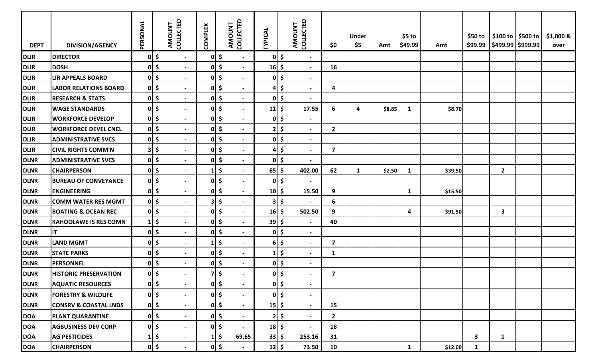| <b>DEPT</b> | <b>DIVISION/AGENCY</b>           | PERSONAL | COLLECTED<br>AMOUNT                                   | <b>COMPLEX</b>          | AMOUNT<br>COLLECTED                             | <b>TYPICAL</b> | AMOUNT<br>COLLECTED                             | \$0                       | <b>Under</b><br>\$5 | Amt    | $$5$ to<br>\$49.99 | Amt     | \$50 to<br>\$99.99 | \$100 to   \$500 to<br>\$499.99 \$999.99 | \$1,000 &<br>over |
|-------------|----------------------------------|----------|-------------------------------------------------------|-------------------------|-------------------------------------------------|----------------|-------------------------------------------------|---------------------------|---------------------|--------|--------------------|---------|--------------------|------------------------------------------|-------------------|
| <b>DLIR</b> | <b>DIRECTOR</b>                  |          | $0\vert \xi$<br>$\sim$                                |                         | $0 \mid \xi$<br>$\overline{\phantom{a}}$        | 0              | \$<br>$\blacksquare$                            |                           |                     |        |                    |         |                    |                                          |                   |
| <b>DLIR</b> | <b>DOSH</b>                      |          | 0 <br>$\overline{\phantom{a}}$                        | 0                       | \$<br>$\blacksquare$                            | 16             | \$<br>$\blacksquare$                            | 16                        |                     |        |                    |         |                    |                                          |                   |
| <b>DLIR</b> | <b>LIR APPEALS BOARD</b>         |          | $0 \mid \xi$<br>$\overline{\phantom{0}}$              | 0                       | \$                                              | $\mathbf{0}$   | $\frac{1}{2}$<br>$\blacksquare$                 |                           |                     |        |                    |         |                    |                                          |                   |
| <b>DLIR</b> | <b>LABOR RELATIONS BOARD</b>     |          | $0 \mid \xi$<br>$\overline{\phantom{0}}$              | 0                       | $\ddot{\bm{\zeta}}$<br>$\overline{\phantom{a}}$ | $\mathbf{4}$   | $\ddot{\bm{\zeta}}$                             | 4                         |                     |        |                    |         |                    |                                          |                   |
| <b>DLIR</b> | <b>RESEARCH &amp; STATS</b>      |          | $0 \mid \xi$<br>$\overline{\phantom{a}}$              |                         | $0 \mid \xi$<br>$\overline{\phantom{a}}$        |                | $0 \mid \xi$<br>$\overline{\phantom{a}}$        |                           |                     |        |                    |         |                    |                                          |                   |
| <b>DLIR</b> | <b>WAGE STANDARDS</b>            |          | $ 0 $ \$<br>$\overline{\phantom{a}}$                  | 0                       | \$<br>$\blacksquare$                            | 11             | $\ddot{\bm{\zeta}}$<br>17.55                    | 6                         | 4                   | \$8.85 | $\mathbf{1}$       | \$8.70  |                    |                                          |                   |
| <b>DLIR</b> | <b>WORKFORCE DEVELOP</b>         |          | $0 \mid \xi$<br>$\blacksquare$                        | 0                       | \$<br>$\overline{\phantom{a}}$                  | 0              | \$<br>$\blacksquare$                            |                           |                     |        |                    |         |                    |                                          |                   |
| <b>DLIR</b> | <b>WORKFORCE DEVEL CNCL</b>      |          | $0 \mid \xi$<br>$\blacksquare$                        | 0                       | \$<br>$\overline{\phantom{a}}$                  | $\mathbf{2}$   | \$<br>$\overline{\phantom{0}}$                  | $\overline{2}$            |                     |        |                    |         |                    |                                          |                   |
| <b>DLIR</b> | <b>ADMINISTRATIVE SVCS</b>       |          | $0 \mid \xi$<br>$\overline{\phantom{0}}$              | 0                       | $\ddot{\bm{\zeta}}$<br>$\overline{\phantom{a}}$ | 0              | \$<br>$\overline{\phantom{a}}$                  |                           |                     |        |                    |         |                    |                                          |                   |
| <b>DLIR</b> | <b>CIVIL RIGHTS COMM'N</b>       |          | $3 \mid \xi$<br>$\overline{\phantom{a}}$              | 0                       | $\ddot{\bm{\zeta}}$<br>$\overline{\phantom{a}}$ | $\mathbf{4}$   | \$<br>$\blacksquare$                            | $\boldsymbol{\mathsf{7}}$ |                     |        |                    |         |                    |                                          |                   |
| <b>DLNR</b> | <b>ADMINISTRATIVE SVCS</b>       |          | $0\vert \xi$<br>$\overline{\phantom{a}}$              | 0                       | \$<br>$\overline{\phantom{a}}$                  | $\mathbf{0}$   | $\ddot{\bm{\zeta}}$<br>$\overline{\phantom{a}}$ |                           |                     |        |                    |         |                    |                                          |                   |
| <b>DLNR</b> | <b>CHAIRPERSON</b>               |          | $0 \mid \xi$<br>$\overline{\phantom{a}}$              | $\mathbf{1}$            | \$<br>$\overline{\phantom{a}}$                  | 65             | \$<br>402.00                                    | 62                        | 1                   | \$2.50 | $\mathbf{1}$       | \$39.50 |                    | $\mathbf{2}$                             |                   |
| <b>DLNR</b> | <b>BUREAU OF CONVEYANCE</b>      |          | $0 \mid \xi$<br>$\overline{\phantom{0}}$              | 0                       | \$                                              | $\mathbf{0}$   | $\ddot{\bm{\zeta}}$                             |                           |                     |        |                    |         |                    |                                          |                   |
| <b>DLNR</b> | <b>ENGINEERING</b>               |          | $0\vert \xi$<br>$\overline{\phantom{0}}$              | 0                       | $\ddot{\bm{\zeta}}$<br>$\overline{\phantom{a}}$ | $10 \mid \xi$  | 15.50                                           | 9                         |                     |        | $\mathbf{1}$       | \$15.50 |                    |                                          |                   |
| <b>DLNR</b> | <b>COMM WATER RES MGMT</b>       |          | $0 \mid \xi$<br>$\overline{\phantom{0}}$              |                         | $3 \mid 5$<br>$\overline{\phantom{a}}$          |                | $3 \mid \xi$                                    | 6                         |                     |        |                    |         |                    |                                          |                   |
| <b>DLNR</b> | <b>BOATING &amp; OCEAN REC</b>   |          | $0\vert \xi$<br>$\overline{\phantom{a}}$              | 0                       | \$<br>$\blacksquare$                            | 16             | $\ddot{\bm{\zeta}}$<br>502.50                   | 9                         |                     |        | 4                  | \$91.50 |                    | 3                                        |                   |
| <b>DLNR</b> | <b>KAHOOLAWE IS RES COMN</b>     | $1\vert$ | \$<br>$\blacksquare$                                  | 0                       | \$<br>$\overline{\phantom{a}}$                  | 39             | $\ddot{\bm{\zeta}}$<br>$\blacksquare$           | 40                        |                     |        |                    |         |                    |                                          |                   |
| <b>DLNR</b> | IT                               |          | $0\vert \xi$<br>$\blacksquare$                        | 0                       | \$<br>$\overline{\phantom{a}}$                  | 0              | \$<br>$\blacksquare$                            |                           |                     |        |                    |         |                    |                                          |                   |
| <b>DLNR</b> | <b>LAND MGMT</b>                 |          | $0 \mid \xi$<br>$\overline{\phantom{a}}$              | $\mathbf{1}$            | \$<br>$\overline{\phantom{a}}$                  | 6              | \$<br>$\blacksquare$                            | $\overline{7}$            |                     |        |                    |         |                    |                                          |                   |
| <b>DLNR</b> | <b>STATE PARKS</b>               |          | $0 \mid \xi$<br>$\overline{\phantom{a}}$              | 0                       | \$<br>$\blacksquare$                            |                | $\frac{1}{2}$<br>$\blacksquare$                 | $\mathbf{1}$              |                     |        |                    |         |                    |                                          |                   |
| <b>DLNR</b> | <b>PERSONNEL</b>                 |          | $0 \mid \xi$<br>$\overline{\phantom{a}}$              | $\mathbf{0}$            | \$<br>$\blacksquare$                            | $\mathbf{0}$   | \$<br>$\blacksquare$                            |                           |                     |        |                    |         |                    |                                          |                   |
| <b>DLNR</b> | <b>HISTORIC PRESERVATION</b>     |          | 0 <sup>1</sup><br>$\blacksquare$                      | $\overline{\mathbf{z}}$ | $\mathsf{\hat{S}}$                              | 01             | $\mathsf{S}$                                    | $\overline{7}$            |                     |        |                    |         |                    |                                          |                   |
| <b>DLNR</b> | <b>AQUATIC RESOURCES</b>         |          | $0 \mid \xi$<br>$\overline{\phantom{a}}$              |                         | $0 \leq$                                        |                | $0 \mid \xi$<br>$\overline{\phantom{a}}$        |                           |                     |        |                    |         |                    |                                          |                   |
| <b>DLNR</b> | <b>FORESTRY &amp; WILDLIFE</b>   |          | $0 \mid \xi$<br>$\overline{\phantom{a}}$              | 0                       | $\zeta$                                         |                | $0 \mid \xi$<br>$\blacksquare$                  |                           |                     |        |                    |         |                    |                                          |                   |
| <b>DLNR</b> | <b>CONSRV &amp; COASTAL LNDS</b> |          | $0 \mid \xi$<br>$\overline{\phantom{0}}$              |                         | $0 \mid \xi$<br>$\overline{\phantom{a}}$        | $15 \mid \xi$  | $\blacksquare$                                  | 15                        |                     |        |                    |         |                    |                                          |                   |
| <b>DOA</b>  | <b>PLANT QUARANTINE</b>          |          | $0 \mid \xi$<br>$\overline{\phantom{a}}$              | 0                       | \$<br>$\blacksquare$                            | 2              | \$<br>$\blacksquare$                            | $\overline{2}$            |                     |        |                    |         |                    |                                          |                   |
| <b>DOA</b>  | <b>AGBUSINESS DEV CORP</b>       |          | $0 \mid \xi$<br>$\overline{\phantom{a}}$              |                         | $0$ \$<br>$\overline{\phantom{a}}$              | $18 \mid 5$    | $\overline{\phantom{a}}$                        | 18                        |                     |        |                    |         |                    |                                          |                   |
| <b>DOA</b>  | <b>AG PESTICIDES</b>             |          | $1\overline{\phantom{0}}$<br>$\overline{\phantom{a}}$ | $\mathbf{1}$            | $\ddot{\bm{\zeta}}$<br>69.65                    | $33 \mid 5$    | 253.16                                          | 31                        |                     |        |                    |         | $\mathbf{3}$       | $\mathbf{1}$                             |                   |
| <b>DOA</b>  | <b>CHAIRPERSON</b>               |          | $0 \mid \xi$<br>$\overline{\phantom{a}}$              |                         | $0 \leq$<br>$\overline{\phantom{a}}$            | $12 \mid 5$    | 73.50                                           | 10                        |                     |        | $\mathbf{1}$       | \$12.00 | $\mathbf{1}$       |                                          |                   |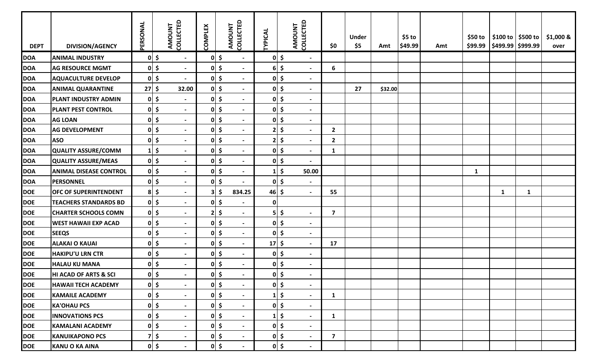| <b>DEPT</b> | <b>DIVISION/AGENCY</b>        | PERSONAL   | COLLECTED<br>AMOUNT                      | <b>COMPLEX</b> | AMOUNT<br>COLLECTED                             | TYPICAL       | AMOUNT<br>COLLECTED                       | \$0                     | <b>Under</b><br>\$5 | Amt     | $$5$ to<br>\$49.99 | Amt | \$50 to      | \$100 to \$300 to \$<br>\$99.99   \$499.99   \$999.99 |   | $$1,000$ &<br>over |
|-------------|-------------------------------|------------|------------------------------------------|----------------|-------------------------------------------------|---------------|-------------------------------------------|-------------------------|---------------------|---------|--------------------|-----|--------------|-------------------------------------------------------|---|--------------------|
| <b>DOA</b>  | <b>ANIMAL INDUSTRY</b>        |            | $0 \mid \xi$<br>$\sim$                   |                | $0 \mid \xi$<br>$\blacksquare$                  |               | $0 \mid \xi$<br>$\blacksquare$            |                         |                     |         |                    |     |              |                                                       |   |                    |
| <b>DOA</b>  | <b>AG RESOURCE MGMT</b>       |            | $0$ \$<br>$\blacksquare$                 |                | $0 \mid \xi$                                    |               | $6$ \$<br>$\blacksquare$                  | 6                       |                     |         |                    |     |              |                                                       |   |                    |
| <b>DOA</b>  | <b>AQUACULTURE DEVELOP</b>    |            | $0 \mid \xi$<br>$\overline{\phantom{0}}$ | 0              | \$                                              |               | $0 \mid \xi$<br>$\blacksquare$            |                         |                     |         |                    |     |              |                                                       |   |                    |
| <b>DOA</b>  | <b>ANIMAL QUARANTINE</b>      | $27 \,$ \$ | 32.00                                    |                | $0 \mid \xi$                                    |               | $0 \leq$<br>$\overline{\phantom{0}}$      |                         | 27                  | \$32.00 |                    |     |              |                                                       |   |                    |
| <b>DOA</b>  | <b>PLANT INDUSTRY ADMIN</b>   |            | $0 \mid \xi$<br>$\blacksquare$           |                | $0 \mid \xi$                                    |               | $0 \mid \xi$<br>$\overline{\phantom{a}}$  |                         |                     |         |                    |     |              |                                                       |   |                    |
| <b>DOA</b>  | <b>PLANT PEST CONTROL</b>     |            | $0 \mid \xi$<br>$\blacksquare$           |                | $0 \mid \xi$<br>$\overline{\phantom{a}}$        |               | $0 \leq$<br>$\blacksquare$                |                         |                     |         |                    |     |              |                                                       |   |                    |
| <b>DOA</b>  | <b>AG LOAN</b>                |            | $0 \mid \xi$<br>$\overline{\phantom{0}}$ |                | $0 \mid \xi$<br>$\blacksquare$                  |               | $0 \mid \xi$<br>$\blacksquare$            |                         |                     |         |                    |     |              |                                                       |   |                    |
| <b>DOA</b>  | <b>AG DEVELOPMENT</b>         |            | $0 \mid \xi$<br>$\blacksquare$           | 0              | \$<br>$\overline{\phantom{a}}$                  | 21            | $\frac{1}{2}$<br>$\overline{\phantom{a}}$ | $\overline{2}$          |                     |         |                    |     |              |                                                       |   |                    |
| <b>DOA</b>  | <b>ASO</b>                    |            | $0 \mid \xi$<br>$\overline{\phantom{0}}$ | 0              | $\ddot{\bm{\zeta}}$<br>$\overline{\phantom{a}}$ | 21            | $\frac{1}{2}$<br>$\blacksquare$           | $\overline{2}$          |                     |         |                    |     |              |                                                       |   |                    |
| <b>DOA</b>  | QUALITY ASSURE/COMM           |            | $1$ \$<br>$\overline{\phantom{0}}$       |                | $0 \mid \xi$<br>$\overline{\phantom{a}}$        |               | $0 \mid \xi$<br>$\overline{\phantom{0}}$  | $\mathbf{1}$            |                     |         |                    |     |              |                                                       |   |                    |
| <b>DOA</b>  | QUALITY ASSURE/MEAS           |            | $0 \mid \xi$<br>$\overline{\phantom{0}}$ |                | $0 \leq$<br>$\blacksquare$                      |               | $0 \mid \xi$<br>$\blacksquare$            |                         |                     |         |                    |     |              |                                                       |   |                    |
| <b>DOA</b>  | <b>ANIMAL DISEASE CONTROL</b> |            | $0 \mid \xi$<br>$\blacksquare$           | 0              | \$<br>$\blacksquare$                            |               | $1 \mid \xi$<br>50.00                     |                         |                     |         |                    |     | $\mathbf{1}$ |                                                       |   |                    |
| <b>DOA</b>  | PERSONNEL                     |            | $0 \mid \xi$<br>$\blacksquare$           | 0              | \$                                              |               | $0 \mid \xi$<br>$\blacksquare$            |                         |                     |         |                    |     |              |                                                       |   |                    |
| <b>DOE</b>  | <b>OFC OF SUPERINTENDENT</b>  |            | $8$ \$<br>$\overline{\phantom{0}}$       | 3              | $\ddot{\bm{\zeta}}$<br>834.25                   | $46 \mid 5$   | $\overline{\phantom{0}}$                  | 55                      |                     |         |                    |     |              | $\mathbf{1}$                                          | 1 |                    |
| <b>DOE</b>  | <b>TEACHERS STANDARDS BD</b>  |            | $0 \mid \xi$<br>$\overline{\phantom{0}}$ |                | $0 \mid \xi$                                    | 0             |                                           |                         |                     |         |                    |     |              |                                                       |   |                    |
| <b>DOE</b>  | <b>CHARTER SCHOOLS COMN</b>   |            | $0 \mid \xi$<br>$\blacksquare$           |                | $2 \mid 5$<br>$\overline{\phantom{a}}$          |               | $5$ \$<br>$\overline{\phantom{a}}$        | $\overline{7}$          |                     |         |                    |     |              |                                                       |   |                    |
| <b>DOE</b>  | <b>WEST HAWAII EXP ACAD</b>   |            | $0 \mid \xi$<br>$\blacksquare$           |                | $0 \mid \xi$<br>$\blacksquare$                  |               | $0 \mid \xi$<br>$\blacksquare$            |                         |                     |         |                    |     |              |                                                       |   |                    |
| <b>DOE</b>  | <b>SEEQS</b>                  |            | $0 \mid \xi$<br>$\blacksquare$           | 0              | $\ddot{\bm{\zeta}}$<br>$\blacksquare$           |               | $0 \mid \xi$<br>$\blacksquare$            |                         |                     |         |                    |     |              |                                                       |   |                    |
| <b>DOE</b>  | <b>ALAKAI O KAUAI</b>         |            | $0 \mid \xi$<br>$\overline{\phantom{0}}$ | 0              | $\ddot{\bm{\zeta}}$<br>$\blacksquare$           | $17 \mid \xi$ | $\sim$                                    | 17                      |                     |         |                    |     |              |                                                       |   |                    |
| <b>DOE</b>  | <b>HAKIPU'U LRN CTR</b>       |            | $0 \mid \xi$<br>$\overline{\phantom{0}}$ |                | $0 \mid \xi$<br>$\blacksquare$                  |               | $0 \mid \xi$<br>$\blacksquare$            |                         |                     |         |                    |     |              |                                                       |   |                    |
| <b>DOE</b>  | <b>HALAU KU MANA</b>          |            | $0 \mid \xi$<br>$\blacksquare$           |                | $0 \leq$<br>$\blacksquare$                      |               | $0 \mid \xi$<br>$\blacksquare$            |                         |                     |         |                    |     |              |                                                       |   |                    |
| <b>DOE</b>  | HI ACAD OF ARTS & SCI         |            | $0 \mid \xi$<br>$\overline{\phantom{0}}$ | 0              | - Ś                                             |               | $0 \mid \xi$<br>$\blacksquare$            |                         |                     |         |                    |     |              |                                                       |   |                    |
| <b>DOE</b>  | <b>HAWAII TECH ACADEMY</b>    |            | $0 \mid \xi$<br>$\blacksquare$           |                | $0 \mid \zeta$                                  |               | $0 \mid \xi$<br>$\blacksquare$            |                         |                     |         |                    |     |              |                                                       |   |                    |
| <b>DOE</b>  | <b>KAMAILE ACADEMY</b>        |            | $0 \mid \xi$<br>$\blacksquare$           |                | $0 \mid \xi$                                    |               | $1 \mid \zeta$<br>$\blacksquare$          | $\mathbf{1}$            |                     |         |                    |     |              |                                                       |   |                    |
| <b>DOE</b>  | <b>KA'OHAU PCS</b>            |            | $0 \mid \xi$<br>$\overline{\phantom{a}}$ |                | $0 \mid \xi$                                    |               | $0 \mid \xi$<br>$\blacksquare$            |                         |                     |         |                    |     |              |                                                       |   |                    |
| <b>DOE</b>  | <b>INNOVATIONS PCS</b>        |            | $0 \mid \xi$<br>$\overline{\phantom{0}}$ |                | $0 \mid \xi$<br>$\blacksquare$                  |               | $1 \mid \xi$<br>$\blacksquare$            | $\mathbf{1}$            |                     |         |                    |     |              |                                                       |   |                    |
| <b>DOE</b>  | <b>KAMALANI ACADEMY</b>       |            | $0 \mid \xi$<br>$\blacksquare$           |                | $0 \mid \xi$<br>$\blacksquare$                  |               | $0 \mid \xi$<br>$\blacksquare$            |                         |                     |         |                    |     |              |                                                       |   |                    |
| <b>DOE</b>  | <b>KANUIKAPONO PCS</b>        |            | $7$ \$<br>$\blacksquare$                 |                | $0 \mid \zeta$<br>$\sim$                        |               | $0 \mid \xi$<br>$\sim$                    | $\overline{\mathbf{z}}$ |                     |         |                    |     |              |                                                       |   |                    |
| <b>DOE</b>  | KANU O KA AINA                |            | $0 \mid \xi$<br>$\overline{\phantom{a}}$ |                | $0 \mid \xi$<br>$\blacksquare$                  |               | $0 \mid \xi$<br>$\blacksquare$            |                         |                     |         |                    |     |              |                                                       |   |                    |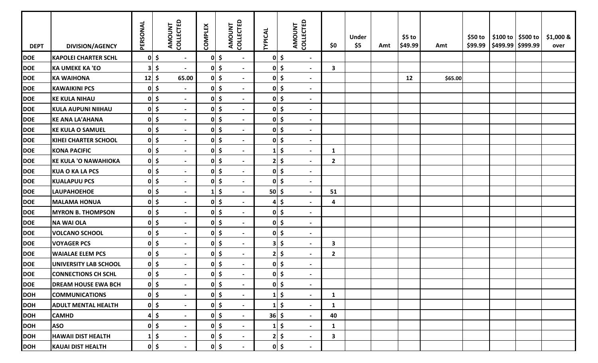| <b>DEPT</b> | <b>DIVISION/AGENCY</b>      | PERSONAL     | COLLECTED<br><b>AMOUNT</b>                | <b>COMPLEX</b> | AMOUNT<br>COLLECTED                             | <b>TYPICAL</b>        | <b>AMOUNT</b><br>COLLECTED                      | \$0            | <b>Under</b><br>\$5 | Amt | $$5$ to<br>\$49.99 | Amt     | \$50 to | $\frac{1}{2}$ \$100 to $\frac{1}{2}$ \$500 to<br>\$99.99   \$499.99   \$999.99 | \$1,000 &<br>over |
|-------------|-----------------------------|--------------|-------------------------------------------|----------------|-------------------------------------------------|-----------------------|-------------------------------------------------|----------------|---------------------|-----|--------------------|---------|---------|--------------------------------------------------------------------------------|-------------------|
| <b>DOE</b>  | <b>KAPOLEI CHARTER SCHL</b> |              | $0 \mid \xi$<br>$\blacksquare$            |                | $0 \mid \zeta$<br>$\blacksquare$                |                       | $0 \mid \xi$<br>$\blacksquare$                  |                |                     |     |                    |         |         |                                                                                |                   |
| <b>DOE</b>  | <b>KA UMEKE KA 'EO</b>      |              | $3 \mid \xi$<br>$\overline{\phantom{a}}$  | 0              | $\zeta$<br>$\overline{\phantom{a}}$             | $\mathbf{0}$          | $\frac{1}{2}$<br>$\blacksquare$                 | $\mathbf{3}$   |                     |     |                    |         |         |                                                                                |                   |
| <b>DOE</b>  | <b>KA WAIHONA</b>           | $12 \mid 5$  | 65.00                                     | 0              | \$<br>$\blacksquare$                            |                       | $0 \mid \xi$<br>$\blacksquare$                  |                |                     |     | 12                 | \$65.00 |         |                                                                                |                   |
| <b>DOE</b>  | <b>KAWAIKINI PCS</b>        |              | $0 \mid \xi$<br>$\overline{\phantom{0}}$  | 0              | $\boldsymbol{\zeta}$                            | $\mathbf{0}$          | $\frac{1}{2}$<br>$\blacksquare$                 |                |                     |     |                    |         |         |                                                                                |                   |
| <b>DOE</b>  | <b>KE KULA NIHAU</b>        |              | $0 \mid \xi$<br>$\overline{\phantom{0}}$  |                | $0 \mid \xi$<br>$\overline{\phantom{a}}$        |                       | $0 \mid \xi$<br>$\overline{\phantom{a}}$        |                |                     |     |                    |         |         |                                                                                |                   |
| <b>DOE</b>  | <b>KULA AUPUNI NIIHAU</b>   |              | $0 \mid \xi$<br>$\overline{\phantom{0}}$  |                | $0 \mid \xi$<br>$\overline{\phantom{a}}$        |                       | $0 \mid \xi$<br>$\blacksquare$                  |                |                     |     |                    |         |         |                                                                                |                   |
| <b>DOE</b>  | <b>KE ANA LA'AHANA</b>      |              | $0 \mid \xi$<br>$\overline{\phantom{0}}$  |                | $0 \mid \xi$<br>$\overline{\phantom{a}}$        |                       | $0 \mid \xi$<br>$\blacksquare$                  |                |                     |     |                    |         |         |                                                                                |                   |
| <b>DOE</b>  | <b>KE KULA O SAMUEL</b>     |              | $0 \mid \xi$<br>$\blacksquare$            | 0              | \$<br>$\blacksquare$                            | $\mathbf{0}$          | $\ddot{\bm{\zeta}}$<br>$\blacksquare$           |                |                     |     |                    |         |         |                                                                                |                   |
| <b>DOE</b>  | <b>KIHEI CHARTER SCHOOL</b> |              | $0 \mid \xi$<br>$\blacksquare$            | 0              | $\ddot{\bm{\zeta}}$<br>$\blacksquare$           | $\mathbf{0}$          | $\ddot{\bm{\zeta}}$<br>$\blacksquare$           |                |                     |     |                    |         |         |                                                                                |                   |
| <b>DOE</b>  | <b>KONA PACIFIC</b>         |              | $0 \mid \xi$<br>$\blacksquare$            |                | $0 \mid \xi$<br>$\overline{\phantom{a}}$        |                       | $\ddot{\bm{\zeta}}$<br>$\blacksquare$           | $\mathbf{1}$   |                     |     |                    |         |         |                                                                                |                   |
| <b>DOE</b>  | <b>KE KULA 'O NAWAHIOKA</b> |              | $0 \mid \xi$<br>$\blacksquare$            |                | $0 \mid \xi$<br>$\blacksquare$                  |                       | $2 \mid 5$<br>$\blacksquare$                    | $\overline{2}$ |                     |     |                    |         |         |                                                                                |                   |
| <b>DOE</b>  | <b>KUA O KA LA PCS</b>      |              | $0 \mid \xi$<br>$\overline{\phantom{a}}$  | 0              | \$<br>$\overline{\phantom{a}}$                  | $\mathbf{0}$          | $\frac{1}{2}$<br>$\blacksquare$                 |                |                     |     |                    |         |         |                                                                                |                   |
| <b>DOE</b>  | <b>KUALAPUU PCS</b>         | $0 \mid \xi$ | $\overline{\phantom{0}}$                  | 0              | \$<br>$\overline{\phantom{a}}$                  | $\mathbf{0}$          | $\ddot{\bm{\zeta}}$<br>$\blacksquare$           |                |                     |     |                    |         |         |                                                                                |                   |
| <b>DOE</b>  | <b>LAUPAHOEHOE</b>          |              | $0 \mid \xi$<br>$\overline{\phantom{0}}$  | $\mathbf{1}$   | \$                                              | $50 \mid \frac{1}{2}$ | $\blacksquare$                                  | 51             |                     |     |                    |         |         |                                                                                |                   |
| <b>DOE</b>  | <b>MALAMA HONUA</b>         |              | $0 \mid \xi$<br>$\overline{\phantom{0}}$  |                | $0 \mid \xi$<br>$\overline{\phantom{a}}$        | 4                     | $\ddot{\bm{\zeta}}$                             | 4              |                     |     |                    |         |         |                                                                                |                   |
| <b>DOE</b>  | <b>MYRON B. THOMPSON</b>    |              | $0 \mid \xi$<br>$\overline{\phantom{0}}$  |                | $0 \leq$<br>$\overline{\phantom{a}}$            |                       | $0 \mid \xi$<br>$\blacksquare$                  |                |                     |     |                    |         |         |                                                                                |                   |
| <b>DOE</b>  | <b>NA WAI OLA</b>           |              | $0 \mid \xi$<br>$\overline{\phantom{a}}$  |                | $0 \mid \xi$<br>$\overline{\phantom{a}}$        |                       | $0 \mid \xi$<br>$\blacksquare$                  |                |                     |     |                    |         |         |                                                                                |                   |
| <b>DOE</b>  | <b>VOLCANO SCHOOL</b>       |              | $0 \mid \xi$<br>$\blacksquare$            | 0              | $\ddot{\bm{\zeta}}$<br>$\overline{\phantom{a}}$ | $\mathbf{0}$          | $\frac{1}{2}$<br>$\blacksquare$                 |                |                     |     |                    |         |         |                                                                                |                   |
| <b>DOE</b>  | <b>VOYAGER PCS</b>          |              | $0 \mid \xi$<br>$\blacksquare$            | 0              | \$<br>$\overline{\phantom{a}}$                  | 3                     | \$<br>$\blacksquare$                            | $\mathbf{3}$   |                     |     |                    |         |         |                                                                                |                   |
| <b>DOE</b>  | <b>WAIALAE ELEM PCS</b>     |              | $0 \mid \xi$<br>$\blacksquare$            |                | $0 \mid \xi$<br>$\overline{\phantom{a}}$        | 2                     | $\ddot{\bm{\zeta}}$<br>$\overline{\phantom{a}}$ | $\overline{2}$ |                     |     |                    |         |         |                                                                                |                   |
| <b>DOE</b>  | UNIVERSITY LAB SCHOOL       |              | $0 \mid \xi$<br>$\overline{\phantom{0}}$  |                | $0 \mid \xi$<br>$\overline{\phantom{a}}$        |                       | $0 \mid \xi$<br>$\blacksquare$                  |                |                     |     |                    |         |         |                                                                                |                   |
| <b>DOE</b>  | <b>CONNECTIONS CH SCHL</b>  |              | 0                                         | 0              | $\mathsf{\hat{S}}$<br>$\overline{\phantom{a}}$  |                       | $0 \mid \xi$                                    |                |                     |     |                    |         |         |                                                                                |                   |
| <b>DOE</b>  | <b>DREAM HOUSE EWA BCH</b>  |              | $0 \mid \xi$<br>$\blacksquare$            | 0              | $\ddot{\bm{\zeta}}$<br>$\blacksquare$           | $\mathbf{0}$          | $\ddot{\bm{\zeta}}$<br>$\blacksquare$           |                |                     |     |                    |         |         |                                                                                |                   |
| <b>DOH</b>  | <b>COMMUNICATIONS</b>       |              | $0 \mid \xi$<br>$\overline{\phantom{a}}$  | 0              | $\zeta$                                         |                       | $\ddot{\bm{\zeta}}$<br>$\overline{\phantom{a}}$ | $\mathbf{1}$   |                     |     |                    |         |         |                                                                                |                   |
| <b>DOH</b>  | <b>ADULT MENTAL HEALTH</b>  |              | $0\vert\;$ \$<br>$\overline{\phantom{a}}$ |                | $0 \mid \xi$<br>$\overline{\phantom{a}}$        |                       | $1 \mid \xi$<br>$\blacksquare$                  | $\mathbf{1}$   |                     |     |                    |         |         |                                                                                |                   |
| <b>DOH</b>  | <b>CAMHD</b>                |              | $4 \mid \xi$<br>$\overline{\phantom{a}}$  |                | $0 \leq$<br>$\blacksquare$                      | $36 \mid 5$           | $\overline{\phantom{a}}$                        | 40             |                     |     |                    |         |         |                                                                                |                   |
| <b>DOH</b>  | <b>ASO</b>                  |              | $0 \mid \xi$<br>$\overline{\phantom{a}}$  |                | $0 \mid \xi$<br>$\blacksquare$                  |                       | $1 \mid \xi$<br>$\blacksquare$                  | $\mathbf{1}$   |                     |     |                    |         |         |                                                                                |                   |
| <b>DOH</b>  | <b>HAWAII DIST HEALTH</b>   |              | $1\vert \xi$<br>$\blacksquare$            |                | $0 \mid \zeta$<br>$\blacksquare$                | 2                     | \$<br>$\blacksquare$                            | $\mathbf{3}$   |                     |     |                    |         |         |                                                                                |                   |
| <b>DOH</b>  | <b>KAUAI DIST HEALTH</b>    |              | $0$ \$<br>$\blacksquare$                  |                | $0 \mid \xi$<br>$\blacksquare$                  |                       | $0 \mid \xi$<br>$\blacksquare$                  |                |                     |     |                    |         |         |                                                                                |                   |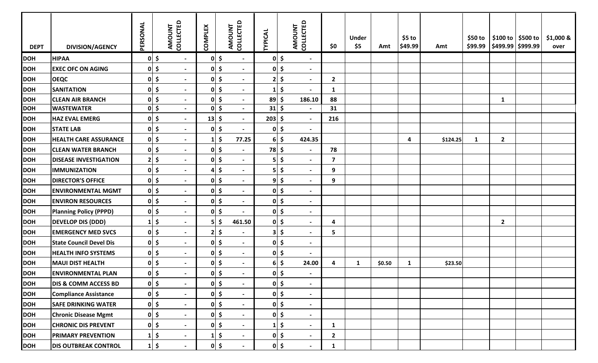| <b>DEPT</b> | <b>DIVISION/AGENCY</b>          | PERSONAL       |                      | COLLECTED<br>AMOUNT      | <b>COMPLEX</b> | AMOUNT       | <b>COLLECTED</b>         | <b>TYPICAL</b> |                     | COLLECTED<br>AMOUNT      | \$0            | <b>Under</b><br>\$5 | Amt    | $$5$ to<br>\$49.99      | Amt      | \$50 to<br>\$99.99 | \$100 to \$500 to<br>$ $ \$499.99 \$999.99 | \$1,000 &<br>over |
|-------------|---------------------------------|----------------|----------------------|--------------------------|----------------|--------------|--------------------------|----------------|---------------------|--------------------------|----------------|---------------------|--------|-------------------------|----------|--------------------|--------------------------------------------|-------------------|
| <b>DOH</b>  | <b>HIPAA</b>                    |                | $0 \mid \xi$         | $\blacksquare$           |                | $0 \mid \xi$ | $\blacksquare$           | 01             | $\ddot{\bm{\zeta}}$ | $\blacksquare$           |                |                     |        |                         |          |                    |                                            |                   |
| <b>DOH</b>  | <b>EXEC OFC ON AGING</b>        | 0              | \$                   | $\blacksquare$           |                | $0 \mid \xi$ | $\overline{\phantom{a}}$ | 01             | \$                  | $\overline{\phantom{a}}$ |                |                     |        |                         |          |                    |                                            |                   |
| <b>DOH</b>  | <b>OEQC</b>                     | 0              | \$                   | $\overline{\phantom{a}}$ |                | $0 \leq$     |                          | 2 <sub>1</sub> | \$                  | $\overline{\phantom{a}}$ | $\overline{2}$ |                     |        |                         |          |                    |                                            |                   |
| <b>DOH</b>  | <b>SANITATION</b>               |                | $0 \mid \xi$         | $\blacksquare$           |                | $0 \mid \xi$ | $\blacksquare$           | 1 <sub>1</sub> | $\ddot{\bm{\zeta}}$ | $\overline{\phantom{a}}$ | $\mathbf{1}$   |                     |        |                         |          |                    |                                            |                   |
| <b>DOH</b>  | <b>CLEAN AIR BRANCH</b>         |                | $0$ \$               | $\overline{\phantom{a}}$ |                | $0 \leq$     | $\overline{\phantom{0}}$ | $89 \mid \xi$  |                     | 186.10                   | 88             |                     |        |                         |          |                    | $\mathbf{1}$                               |                   |
| <b>DOH</b>  | <b>WASTEWATER</b>               | 0              | $\ddot{\bm{\zeta}}$  | $\blacksquare$           |                | $0 \mid \xi$ | $\blacksquare$           | 31             | \$                  | $\sim$                   | 31             |                     |        |                         |          |                    |                                            |                   |
| <b>DOH</b>  | <b>HAZ EVAL EMERG</b>           | 0              | \$                   | $\blacksquare$           | $13 \mid 5$    |              | $\blacksquare$           | 203            | \$                  | $\blacksquare$           | 216            |                     |        |                         |          |                    |                                            |                   |
| <b>DOH</b>  | <b>STATE LAB</b>                | 0              | \$                   | $\blacksquare$           |                | $0 \mid \xi$ |                          | 01             | \$                  | $\overline{\phantom{a}}$ |                |                     |        |                         |          |                    |                                            |                   |
| <b>DOH</b>  | <b>HEALTH CARE ASSURANCE</b>    |                | $0$ \$               | $\overline{\phantom{a}}$ | $\mathbf{1}$   | \$           | 77.25                    | 61             | \$                  | 424.35                   |                |                     |        | $\overline{\mathbf{a}}$ | \$124.25 | $\mathbf{1}$       | $\overline{2}$                             |                   |
| <b>DOH</b>  | <b>CLEAN WATER BRANCH</b>       |                | $0 \mid \xi$         | $\overline{a}$           |                | $0 \leq$     | $\overline{\phantom{0}}$ | $78$ \$        |                     | $\blacksquare$           | 78             |                     |        |                         |          |                    |                                            |                   |
| <b>DOH</b>  | <b>DISEASE INVESTIGATION</b>    | 2 <sub>1</sub> | $\boldsymbol{\zeta}$ | $\blacksquare$           |                | $0 \leq$     | $\blacksquare$           | 5              | \$                  | $\overline{\phantom{a}}$ | $\overline{7}$ |                     |        |                         |          |                    |                                            |                   |
| <b>DOH</b>  | <b>IMMUNIZATION</b>             | 0              | \$                   | $\blacksquare$           |                | $4 \mid 5$   | $\blacksquare$           | 5 <sub>l</sub> | $\frac{1}{2}$       | $\blacksquare$           | 9              |                     |        |                         |          |                    |                                            |                   |
| <b>DOH</b>  | <b>DIRECTOR'S OFFICE</b>        | 0              | $\frac{1}{2}$        | $\overline{\phantom{a}}$ |                | $0 \mid \xi$ | $\blacksquare$           | 9 <sub>l</sub> | \$                  | $\overline{\phantom{a}}$ | 9              |                     |        |                         |          |                    |                                            |                   |
| <b>DOH</b>  | <b>ENVIRONMENTAL MGMT</b>       | 0              | \$                   | $\blacksquare$           |                | $0 \leq$     | $\blacksquare$           | 01             | \$                  | $\blacksquare$           |                |                     |        |                         |          |                    |                                            |                   |
| <b>DOH</b>  | <b>ENVIRON RESOURCES</b>        |                | $0 \mid \xi$         | $\blacksquare$           |                | $0 \leq$     | $\blacksquare$           | 01             | $\frac{1}{2}$       | $\overline{\phantom{a}}$ |                |                     |        |                         |          |                    |                                            |                   |
| <b>DOH</b>  | <b>Planning Policy (PPPD)</b>   | 0              | $\frac{1}{2}$        | $\blacksquare$           |                | $0 \mid \xi$ | $\blacksquare$           | 01             | $\ddot{\bm{\zeta}}$ | $\blacksquare$           |                |                     |        |                         |          |                    |                                            |                   |
| <b>DOH</b>  | <b>DEVELOP DIS (DDD)</b>        | $\mathbf{1}$   | \$                   | $\blacksquare$           |                | $5$ \$       | 461.50                   |                | $0 \mid \xi$        | $\overline{\phantom{a}}$ | 4              |                     |        |                         |          |                    | $\mathbf{2}$                               |                   |
| <b>DOH</b>  | <b>EMERGENCY MED SVCS</b>       |                | $0 \mid \xi$         | $\blacksquare$           |                | $2 \mid 5$   | $\blacksquare$           | 3              | \$                  | $\overline{\phantom{a}}$ | 5              |                     |        |                         |          |                    |                                            |                   |
| <b>DOH</b>  | <b>State Council Devel Dis</b>  |                | $0 \mid \xi$         | $\overline{\phantom{a}}$ |                | $0 \leq$     | $\overline{\phantom{0}}$ |                | $0 \mid 5$          | $\overline{\phantom{a}}$ |                |                     |        |                         |          |                    |                                            |                   |
| <b>DOH</b>  | <b>HEALTH INFO SYSTEMS</b>      |                | $0 \mid \xi$         | $\blacksquare$           |                | $0 \leq$     | $\blacksquare$           |                | $0 \mid 5$          | $\blacksquare$           |                |                     |        |                         |          |                    |                                            |                   |
| <b>DOH</b>  | <b>MAUI DIST HEALTH</b>         |                | $0 \mid \xi$         | $\blacksquare$           |                | $0 \mid \xi$ | $\blacksquare$           |                | $6 \mid 5$          | 24.00                    | 4              | 1                   | \$0.50 | $\mathbf{1}$            | \$23.50  |                    |                                            |                   |
| <b>DOH</b>  | <b>ENVIRONMENTAL PLAN</b>       |                | $0 \mid \xi$         | $\overline{\phantom{a}}$ |                | $0 \mid \xi$ |                          |                | $0 \mid \xi$        | $\overline{\phantom{a}}$ |                |                     |        |                         |          |                    |                                            |                   |
| <b>DOH</b>  | <b>DIS &amp; COMM ACCESS BD</b> |                | $0 \mid \xi$         | $\blacksquare$           |                | $0 \mid \xi$ | $\blacksquare$           |                | $0 \mid \xi$        | $\overline{\phantom{a}}$ |                |                     |        |                         |          |                    |                                            |                   |
| <b>DOH</b>  | <b>Compliance Assistance</b>    |                | $0 \mid \xi$         | $\blacksquare$           |                | $0 \mid \xi$ | $\blacksquare$           |                | $0 \mid \xi$        | $\overline{\phantom{a}}$ |                |                     |        |                         |          |                    |                                            |                   |
| <b>DOH</b>  | <b>SAFE DRINKING WATER</b>      |                | $0 \mid \xi$         | $\blacksquare$           |                | $0 \mid \xi$ | $\sim$                   |                | $0 \mid \xi$        | $\blacksquare$           |                |                     |        |                         |          |                    |                                            |                   |
| <b>DOH</b>  | <b>Chronic Disease Mgmt</b>     |                | $0 \mid \xi$         | $\blacksquare$           |                | $0 \leq$     | $\blacksquare$           |                | $0 \mid \xi$        | $\blacksquare$           |                |                     |        |                         |          |                    |                                            |                   |
| <b>DOH</b>  | <b>CHRONIC DIS PREVENT</b>      |                | $0 \mid \xi$         | $\blacksquare$           |                | $0 \leq$     | $\sim$                   | $1\vert$       | $\ddot{\bm{\zeta}}$ | $\blacksquare$           | $\mathbf{1}$   |                     |        |                         |          |                    |                                            |                   |
| <b>DOH</b>  | <b>PRIMARY PREVENTION</b>       | $1\vert$       | $\ddot{\bm{\zeta}}$  | $\blacksquare$           |                | $1 \mid \xi$ | $\sim$                   |                | $0 \mid \xi$        | $\overline{\phantom{a}}$ | $\mathbf{2}$   |                     |        |                         |          |                    |                                            |                   |
| <b>DOH</b>  | <b>DIS OUTBREAK CONTROL</b>     |                | $1$ \$               |                          |                | $0 \mid \xi$ |                          |                | $0 \mid \xi$        | $\blacksquare$           | $\mathbf{1}$   |                     |        |                         |          |                    |                                            |                   |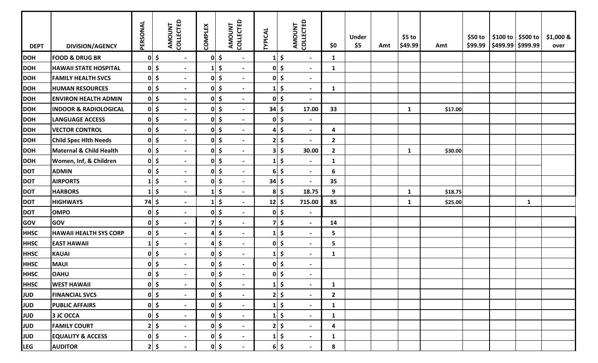| <b>DEPT</b> | <b>DIVISION/AGENCY</b>           | PERSONAL | <b>COLLECTED</b><br>AMOUNT                 |                          | <b>COMPLEX</b> | AMOUNT<br>COLLECTED                             | <b>TYPICAL</b> |                     | AMOUNT<br>COLLECTED      | \$0          | <b>Under</b><br>\$5 | Amt | $$5$ to<br>\$49.99 | Amt     | \$50 to | \$99.99   \$499.99   \$999.99 | \$100 to   \$500 to | \$1,000 &<br>over |
|-------------|----------------------------------|----------|--------------------------------------------|--------------------------|----------------|-------------------------------------------------|----------------|---------------------|--------------------------|--------------|---------------------|-----|--------------------|---------|---------|-------------------------------|---------------------|-------------------|
| <b>DOH</b>  | <b>FOOD &amp; DRUG BR</b>        |          | $0 \mid \xi$<br>$\blacksquare$             |                          | $ 0 $ \$       | $\blacksquare$                                  |                | \$                  | $\blacksquare$           | $\mathbf{1}$ |                     |     |                    |         |         |                               |                     |                   |
| <b>DOH</b>  | <b>HAWAII STATE HOSPITAL</b>     |          | $0\vert$ \$<br>$\blacksquare$              |                          | $\mathbf{1}$   | $\ddot{\bm{\zeta}}$<br>$\blacksquare$           |                | $0 \mid \xi$        | $\overline{\phantom{a}}$ | $\mathbf{1}$ |                     |     |                    |         |         |                               |                     |                   |
| <b>DOH</b>  | <b>FAMILY HEALTH SVCS</b>        |          | $0\vert$ \$<br>$\blacksquare$              |                          | 0              | \$                                              |                | $0 \mid \xi$        | $\blacksquare$           |              |                     |     |                    |         |         |                               |                     |                   |
| <b>DOH</b>  | <b>HUMAN RESOURCES</b>           |          | $0 \mid \xi$<br>$\overline{\phantom{0}}$   |                          | $0\vert$ \$    |                                                 |                | $1\vert \xi$        | $\blacksquare$           | $\mathbf{1}$ |                     |     |                    |         |         |                               |                     |                   |
| <b>DOH</b>  | <b>ENVIRON HEALTH ADMIN</b>      |          | $0 \mid \xi$<br>$\overline{\phantom{0}}$   |                          | $0 \mid \xi$   | $\blacksquare$                                  |                | $0 \mid \xi$        | $\blacksquare$           |              |                     |     |                    |         |         |                               |                     |                   |
| <b>DOH</b>  | <b>INDOOR &amp; RADIOLOGICAL</b> |          | $0 \mid \xi$<br>$\blacksquare$             |                          | $0 \mid \xi$   | $\blacksquare$                                  | $34 \div$      |                     | 17.00                    | 33           |                     |     | $\mathbf{1}$       | \$17.00 |         |                               |                     |                   |
| <b>DOH</b>  | <b>LANGUAGE ACCESS</b>           |          | $0 \mid \xi$<br>$\blacksquare$             |                          | $0 \mid \xi$   | $\blacksquare$                                  |                | $0 \mid \xi$        | $\blacksquare$           |              |                     |     |                    |         |         |                               |                     |                   |
| <b>DOH</b>  | <b>VECTOR CONTROL</b>            |          | $0 \mid \xi$<br>$\blacksquare$             |                          | 0              | \$<br>$\blacksquare$                            | 41             | $\ddot{\bm{\zeta}}$ | $\overline{\phantom{a}}$ | 4            |                     |     |                    |         |         |                               |                     |                   |
| <b>DOH</b>  | <b>Child Spec Hith Needs</b>     |          | $0 \mid \xi$                               | $\blacksquare$           | $0 \mid \xi$   | $\blacksquare$                                  |                | $2 \mid 5$          | $\blacksquare$           | $\mathbf{2}$ |                     |     |                    |         |         |                               |                     |                   |
| <b>DOH</b>  | Maternal & Child Health          |          | $0 \mid \xi$                               | $\overline{\phantom{0}}$ | $0 \mid \xi$   | $\blacksquare$                                  |                | $3 \mid 5$          | 30.00                    | $\mathbf{2}$ |                     |     | $\mathbf{1}$       | \$30.00 |         |                               |                     |                   |
| <b>DOH</b>  | Women, Inf, & Children           |          | $0\vert \xi$<br>$\overline{\phantom{a}}$   |                          | $0 \mid \xi$   | $\blacksquare$                                  |                | $\ddot{\bm{\zeta}}$ | $\blacksquare$           | $\mathbf{1}$ |                     |     |                    |         |         |                               |                     |                   |
| <b>DOT</b>  | <b>ADMIN</b>                     |          | $0\vert$ \$<br>$\blacksquare$              |                          | $0\vert$ \$    | $\blacksquare$                                  | 6              | $\ddot{\bm{\zeta}}$ | $\blacksquare$           | 6            |                     |     |                    |         |         |                               |                     |                   |
| <b>DOT</b>  | <b>AIRPORTS</b>                  | $1\vert$ | \$<br>$\blacksquare$                       |                          | 0              | \$                                              | $34 \mid 5$    |                     | $\overline{\phantom{a}}$ | 35           |                     |     |                    |         |         |                               |                     |                   |
| <b>DOT</b>  | <b>HARBORS</b>                   | $1\vert$ | $\ddot{\bm{\zeta}}$<br>$\blacksquare$      |                          | $\mathbf{1}$   | $\ddot{\bm{\zeta}}$                             |                | $8$ \$              | 18.75                    | 9            |                     |     | $\mathbf{1}$       | \$18.75 |         |                               |                     |                   |
| <b>DOT</b>  | <b>HIGHWAYS</b>                  | $74$ \$  | $\overline{\phantom{0}}$                   |                          | 1              | $\ddot{\bm{\zeta}}$<br>$\overline{\phantom{a}}$ | $12 \mid 5$    |                     | 715.00                   | 85           |                     |     | $\mathbf{1}$       | \$25.00 |         |                               | $\mathbf{1}$        |                   |
| <b>DOT</b>  | <b>OMPO</b>                      |          | $0\vert \xi$<br>$\blacksquare$             |                          | $0 \mid \xi$   | $\overline{\phantom{a}}$                        |                | $0 \mid \xi$        | $\blacksquare$           |              |                     |     |                    |         |         |                               |                     |                   |
| GOV         | <b>GOV</b>                       |          | $0\vert$ \$<br>$\overline{\phantom{a}}$    |                          | 7              | $\ddot{\bm{\zeta}}$<br>$\blacksquare$           |                | $7 \,$ \$           | $\blacksquare$           | 14           |                     |     |                    |         |         |                               |                     |                   |
| <b>HHSC</b> | <b>HAWAII HEALTH SYS CORP</b>    |          | $0 \mid \xi$<br>$\blacksquare$             |                          | 4              | \$<br>$\blacksquare$                            |                | $\frac{1}{2}$       | $\sim$                   | 5            |                     |     |                    |         |         |                               |                     |                   |
| <b>HHSC</b> | <b>EAST HAWAII</b>               | $1\vert$ | $\ddot{\bm{\zeta}}$                        | $\overline{\phantom{0}}$ | 4              | $\ddot{\bm{\zeta}}$<br>$\blacksquare$           |                | $0 \mid \xi$        | $\overline{\phantom{0}}$ | 5            |                     |     |                    |         |         |                               |                     |                   |
| <b>HHSC</b> | <b>KAUAI</b>                     |          | $0\vert$ \$<br>$\sim$                      |                          | $0 \mid \xi$   | $\blacksquare$                                  |                | $1 \mid \xi$        | $\blacksquare$           | $\mathbf{1}$ |                     |     |                    |         |         |                               |                     |                   |
| <b>HHSC</b> | <b>MAUI</b>                      |          | $0\vert \xi$<br>$\blacksquare$             |                          | 0              | \$<br>$\blacksquare$                            |                | $0 \mid \xi$        | $\blacksquare$           |              |                     |     |                    |         |         |                               |                     |                   |
| <b>HHSC</b> | <b>OAHU</b>                      |          | 0 <sup>1</sup><br>$\overline{\phantom{0}}$ |                          | 0              | S.                                              |                | $0 \mid \xi$        | $\overline{\phantom{0}}$ |              |                     |     |                    |         |         |                               |                     |                   |
| <b>HHSC</b> | <b>WEST HAWAII</b>               |          | $0 \mid \xi$<br>$\blacksquare$             |                          | $0 \mid \xi$   | $\blacksquare$                                  |                | $1 \mid \zeta$      | $\blacksquare$           | $\mathbf{1}$ |                     |     |                    |         |         |                               |                     |                   |
| JUD         | <b>FINANCIAL SVCS</b>            |          | $0\vert \xi$<br>$\overline{\phantom{a}}$   |                          | $0 \mid \xi$   | $\blacksquare$                                  |                | $2 \mid 5$          | $\blacksquare$           | $\mathbf{2}$ |                     |     |                    |         |         |                               |                     |                   |
| JUD         | <b>PUBLIC AFFAIRS</b>            |          | $0\vert \xi$<br>$\blacksquare$             |                          | $0 \mid \xi$   | $\blacksquare$                                  |                | $1 \mid \zeta$      | $\blacksquare$           | $\mathbf{1}$ |                     |     |                    |         |         |                               |                     |                   |
| <b>JUD</b>  | 3 JC OCCA                        |          | $0 \mid \xi$<br>$\blacksquare$             |                          | $0 \mid \xi$   | $\blacksquare$                                  |                | $1 \mid \xi$        | $\blacksquare$           | $\mathbf{1}$ |                     |     |                    |         |         |                               |                     |                   |
| <b>JUD</b>  | <b>FAMILY COURT</b>              |          | $2 \mid 5$<br>$\sim$                       |                          | $0\vert\;$ \$  | $\blacksquare$                                  |                | $2 \mid 5$          | $\blacksquare$           | 4            |                     |     |                    |         |         |                               |                     |                   |
| <b>JUD</b>  | <b>EQUALITY &amp; ACCESS</b>     |          | $0 \mid \xi$                               | $\sim$                   | $0 \mid \xi$   | $\blacksquare$                                  |                | $1 \mid \zeta$      | $\sim$                   | $\mathbf{1}$ |                     |     |                    |         |         |                               |                     |                   |
| <b>LEG</b>  | <b>AUDITOR</b>                   |          | $2 \mid 5$<br>$\blacksquare$               |                          |                | $0 \mid 5$<br>$\blacksquare$                    |                | $6$ \$              | $\blacksquare$           | 8            |                     |     |                    |         |         |                               |                     |                   |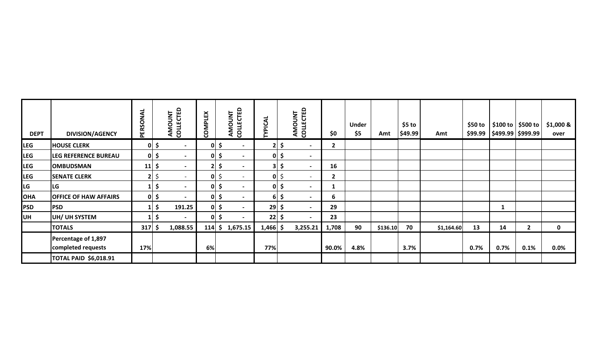| <b>DEPT</b> | <b>DIVISION/AGENCY</b>                    | PERSONAL     |              | AMOUNT<br>COLLECTED      | <b>COMPLEX</b> |                 | COLLECTED<br><b>AMOUNT</b> | YPICAL      |              | COLLECTED<br>AMOUNT      | \$0            | <b>Under</b><br>\$5 | Amt      | $$5$ to<br>\$49.99 | Amt        | \$50 to<br>\$99.99 |      | \$100 to   \$500 to<br>$\frac{1}{2}$ \$499.99 $\frac{1}{2}$ \$999.99 | \$1,000 &<br>over |
|-------------|-------------------------------------------|--------------|--------------|--------------------------|----------------|-----------------|----------------------------|-------------|--------------|--------------------------|----------------|---------------------|----------|--------------------|------------|--------------------|------|----------------------------------------------------------------------|-------------------|
| <b>LEG</b>  | <b>HOUSE CLERK</b>                        |              | $0 \mid \xi$ | $\blacksquare$           |                | 이 \$            | $\overline{\phantom{a}}$   | 2           | \$           | $\overline{\phantom{0}}$ | $\overline{2}$ |                     |          |                    |            |                    |      |                                                                      |                   |
| <b>LEG</b>  | <b>LEG REFERENCE BUREAU</b>               |              | $0 \mid \xi$ | $\blacksquare$           |                | $0 \mid \xi$    | $\overline{\phantom{0}}$   |             | $0 \mid \xi$ | $\blacksquare$           |                |                     |          |                    |            |                    |      |                                                                      |                   |
| <b>LEG</b>  | <b>OMBUDSMAN</b>                          | 11           | \$           | $\blacksquare$           |                | $2 \mid 5 \mid$ | $\overline{\phantom{0}}$   |             | $3 \mid 5$   | $\overline{\phantom{0}}$ | 16             |                     |          |                    |            |                    |      |                                                                      |                   |
| <b>LEG</b>  | <b>SENATE CLERK</b>                       |              | $2 \, \zeta$ | $\sim$                   |                | $0 \mid \xi$    | $\sim$                     |             | $0 \leq$     | $\overline{\phantom{0}}$ | $\overline{2}$ |                     |          |                    |            |                    |      |                                                                      |                   |
| <b>LG</b>   | <b>LG</b>                                 |              | $1 \mid \xi$ | $\blacksquare$           |                | $0 \mid \xi$    | $\blacksquare$             |             | $ 0 $ \$     | $\overline{\phantom{a}}$ |                |                     |          |                    |            |                    |      |                                                                      |                   |
| <b>OHA</b>  | <b>OFFICE OF HAW AFFAIRS</b>              |              | $0 \mid \xi$ | $\overline{\phantom{a}}$ |                | 이 \$            | $\overline{\phantom{a}}$   |             | $6 \mid \xi$ | $\overline{\phantom{a}}$ | 6              |                     |          |                    |            |                    |      |                                                                      |                   |
| <b>PSD</b>  | <b>PSD</b>                                |              | \$           | 191.25                   |                | 이 \$            | $\sim$                     | $29 \mid 5$ |              | $\overline{\phantom{a}}$ | 29             |                     |          |                    |            |                    |      |                                                                      |                   |
| <b>UH</b>   | UH/ UH SYSTEM                             |              | \$           | $\overline{\phantom{a}}$ |                | 0 \$            | $\overline{\phantom{0}}$   | $22 \mid 5$ |              | $\overline{\phantom{0}}$ | 23             |                     |          |                    |            |                    |      |                                                                      |                   |
|             | <b>TOTALS</b>                             | $317 \mid 5$ |              | 1,088.55                 | $114 \mid 5$   |                 | 1,675.15                   | $1,466$ \$  |              | 3,255.21                 | 1,708          | 90                  | \$136.10 | 70                 | \$1,164.60 | 13                 | 14   | $\overline{2}$                                                       | $\mathbf 0$       |
|             | Percentage of 1,897<br>completed requests | 17%          |              |                          | 6%             |                 |                            | 77%         |              |                          | 90.0%          | 4.8%                |          | 3.7%               |            | 0.7%               | 0.7% | 0.1%                                                                 | 0.0%              |
|             | <b>TOTAL PAID \$6,018.91</b>              |              |              |                          |                |                 |                            |             |              |                          |                |                     |          |                    |            |                    |      |                                                                      |                   |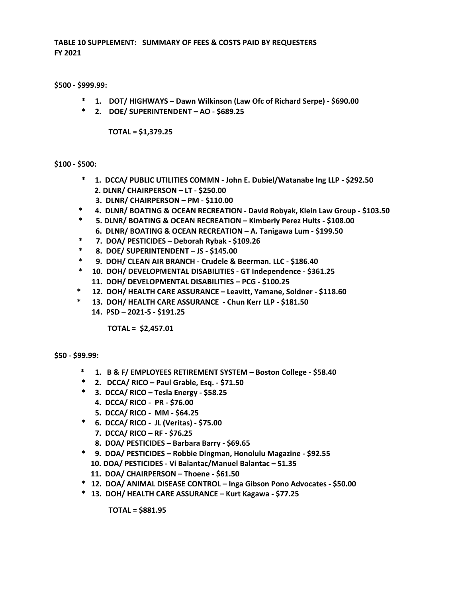**TABLE 10 SUPPLEMENT: SUMMARY OF FEES & COSTS PAID BY REQUESTERS FY 2021**

**\$500 - \$999.99:**

- **\* 1. DOT/ HIGHWAYS – Dawn Wilkinson (Law Ofc of Richard Serpe) - \$690.00**
- **\* 2. DOE/ SUPERINTENDENT – AO - \$689.25**

**TOTAL = \$1,379.25**

#### **\$100 - \$500:**

- **\* 1. DCCA/ PUBLIC UTILITIES COMMN - John E. Dubiel/Watanabe Ing LLP - \$292.50 2. DLNR/ CHAIRPERSON – LT - \$250.00**
	- **3. DLNR/ CHAIRPERSON – PM - \$110.00**
- **\* 4. DLNR/ BOATING & OCEAN RECREATION - David Robyak, Klein Law Group - \$103.50**
- **\* 5. DLNR/ BOATING & OCEAN RECREATION – Kimberly Perez Hults - \$108.00 6. DLNR/ BOATING & OCEAN RECREATION – A. Tanigawa Lum - \$199.50**
- **\* 7. DOA/ PESTICIDES – Deborah Rybak - \$109.26**
- **\* 8. DOE/ SUPERINTENDENT – JS - \$145.00**
- **\* 9. DOH/ CLEAN AIR BRANCH - Crudele & Beerman. LLC - \$186.40**
- **\* 10. DOH/ DEVELOPMENTAL DISABILITIES - GT Independence - \$361.25 11. DOH/ DEVELOPMENTAL DISABILITIES – PCG - \$100.25**
- **\* 12. DOH/ HEALTH CARE ASSURANCE – Leavitt, Yamane, Soldner - \$118.60**
- **\* 13. DOH/ HEALTH CARE ASSURANCE - Chun Kerr LLP - \$181.50 14. PSD – 2021-5 - \$191.25**

**TOTAL = \$2,457.01**

**\$50 - \$99.99:**

- **\* 1. B & F/ EMPLOYEES RETIREMENT SYSTEM – Boston College - \$58.40**
- **\* 2. DCCA/ RICO – Paul Grable, Esq. - \$71.50**
- **\* 3. DCCA/ RICO – Tesla Energy - \$58.25**
	- **4. DCCA/ RICO - PR - \$76.00**
	- **5. DCCA/ RICO - MM - \$64.25**
- **\* 6. DCCA/ RICO JL (Veritas) - \$75.00**
	- **7. DCCA/ RICO – RF - \$76.25**
	- **8. DOA/ PESTICIDES – Barbara Barry - \$69.65**
- **\* 9. DOA/ PESTICIDES – Robbie Dingman, Honolulu Magazine - \$92.55 10. DOA/ PESTICIDES - Vi Balantac/Manuel Balantac – 51.35 11. DOA/ CHAIRPERSON – Thoene - \$61.50**
- **\* 12. DOA/ ANIMAL DISEASE CONTROL – Inga Gibson Pono Advocates - \$50.00**
- **\* 13. DOH/ HEALTH CARE ASSURANCE – Kurt Kagawa - \$77.25**

**TOTAL = \$881.95**